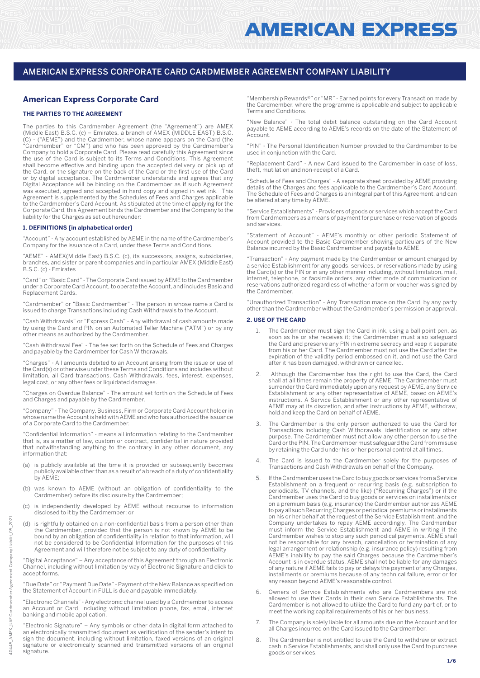# **American Express Corporate Card**

### **THE PARTIES TO THE AGREEMENT**

The parties to this Cardmember Agreement (the "Agreement") are AMEX (Middle East) B.S.C. (c) – Emirates, a branch of AMEX (MIDDLE EAST) B.S.C. (C) - ("AEME") and the Cardmember, whose name appears on the Card (the "Cardmember" or "CM") and who has been approved by the Cardmember's Company to hold a Corporate Card. Please read carefully this Agreement since the use of the Card is subject to its Terms and Conditions. This Agreement shall become effective and binding upon the accepted delivery or pick up of the Card, or the signature on the back of the Card or the first use of the Card or by digital acceptance. The Cardmember understands and agrees that any Digital Acceptance will be binding on the Cardmember as if such Agreement was executed, agreed and accepted in hard copy and signed in wet ink. This Agreement is supplemented by the Schedules of Fees and Charges applicable to the Cardmember's Card Account. As stipulated at the time of applying for the Corporate Card, this Agreement binds the Cardmember and the Company to the liability for the Charges as set out hereunder:

#### **1. DEFINITIONS [in alphabetical order]**

"Account" - Any account established by AEME in the name of the Cardmember's Company for the issuance of a Card, under these Terms and Conditions.

"AEME" - AMEX(Middle East) B.S.C. (c), its successors, assigns, subsidiaries, branches, and sister or parent companies and in particular AMEX (Middle East) B.S.C. (c) - Emirates

"Card" or "Basic Card" - The Corporate Card issued by AEME to the Cardmember under a Corporate Card Account, to operate the Account, and includes Basic and Replacement Cards.

"Cardmember" or "Basic Cardmember" - The person in whose name a Card is issued to charge Transactions including Cash Withdrawals to the Account.

"Cash Withdrawals" or "Express Cash" - Any withdrawal of cash amounts made by using the Card and PIN on an Automated Teller Machine ("ATM") or by any other means as authorized by the Cardmember.

"Cash Withdrawal Fee" - The fee set forth on the Schedule of Fees and Charges and payable by the Cardmember for Cash Withdrawals.

"Charges" - All amounts debited to an Account arising from the issue or use of the Card(s) or otherwise under these Terms and Conditions and includes without limitation, all Card transactions, Cash Withdrawals, fees, interest, expenses, legal cost, or any other fees or liquidated damages.

"Charges on Overdue Balance" - The amount set forth on the Schedule of Fees and Charges and payable by the Cardmember.

"Company" - The Company, Business, Firm or Corporate Card Account holder in whose name the Account is held with AEME and who has authorized the issuance of a Corporate Card to the Cardmember.

"Confidential Information" - means all information relating to the Cardmember that is, as a matter of law, custom or contract, confidential in nature provided that notwithstanding anything to the contrary in any other document, any information that:

- (a) is publicly available at the time it is provided or subsequently becomes publicly available other than as a result of a breach of a duty of confidentiality by AEME;
- (b) was known to AEME (without an obligation of confidentiality to the Cardmember) before its disclosure by the Cardmember;
- (c) is independently developed by AEME without recourse to information disclosed to it by the Cardmember; or
- is rightfully obtained on a non-confidential basis from a person other than the Cardmember, provided that the person is not known by AEME to be bound by an obligation of confidentiality in relation to that information, will not be considered to be Confidential Information for the purposes of this Agreement and will therefore not be subject to any duty of confidentiality

"Digital Acceptance" – Any acceptance of this Agreement through an Electronic Channel, including without limitation by way of Electronic Signature and click to accept forms.

"Due Date" or "Payment Due Date" - Payment of the New Balance as specified on the Statement of Account in FULL is due and payable immediately.

"Electronic Channels" - Any electronic channel used by a Cardmember to access an Account or Card, including without limitation phone, fax, email, internet banking and mobile application.

"Electronic Signature" – Any symbols or other data in digital form attached to an electronically transmitted document as verification of the sender's intent to sign the document, including without limitation, faxed versions of an original signature or electronically scanned and transmitted versions of an original signature.

"Membership Rewards®" or "MR" - Earned points for every Transaction made by the Cardmember, where the programme is applicable and subject to applicable Terms and Conditions.

"New Balance" - The total debit balance outstanding on the Card Account payable to AEME according to AEME's records on the date of the Statement of **Account** 

"PIN" - The Personal Identification Number provided to the Cardmember to be used in conjunction with the Card.

"Replacement Card" - A new Card issued to the Cardmember in case of loss, theft, mutilation and non-receipt of a Card.

"Schedule of Fees and Charges" - A separate sheet provided by AEME providing details of the Charges and fees applicable to the Cardmember's Card Account. The Schedule of Fees and Charges is an integral part of this Agreement, and can be altered at any time by AEME.

"Service Establishments" - Providers of goods or services which accept the Card from Cardmembers as a means of payment for purchase or reservation of goods and services.

"Statement of Account" - AEME's monthly or other periodic Statement of Account provided to the Basic Cardmember showing particulars of the New Balance incurred by the Basic Cardmember and payable to AEME.

"Transaction" - Any payment made by the Cardmember or amount charged by a service Establishment for any goods, services, or reservations made by using the Card(s) or the PIN or in any other manner including, without limitation, mail, internet, telephone, or facsimile orders, any other mode of communication or reservations authorized regardless of whether a form or voucher was signed by the Cardmember.

"Unauthorized Transaction" - Any Transaction made on the Card, by any party other than the Cardmember without the Cardmember's permission or approval.

#### **2. USE OF THE CARD**

- 1. The Cardmember must sign the Card in ink, using a ball point pen, as soon as he or she receives it; the Cardmember must also safeguard the Card and preserve any PIN in extreme secrecy and keep it separate from his or her Card. The Cardmember must not use the Card after the expiration of the validity period embossed on it, and not use the Card after it has been damaged, withdrawn or cancelled.
- 2. Although the Cardmember has the right to use the Card, the Card shall at all times remain the property of AEME. The Cardmember must surrender the Card immediately upon any request by AEME, any Service Establishment or any other representative of AEME, based on AEME's instructions. A Service Establishment or any other representative of AEME may at its discretion, and after instructions by AEME, withdraw, hold and keep the Card on behalf of AEME.
- 3. The Cardmember is the only person authorized to use the Card for Transactions including Cash Withdrawals, identification or any other purpose. The Cardmember must not allow any other person to use the Card or the PIN. The Cardmember must safeguard the Card from misuse by retaining the Card under his or her personal control at all times.
- The Card is issued to the Cardmember solely for the purposes of Transactions and Cash Withdrawals on behalf of the Company.
- 5. If the Cardmember uses the Card to buy goods or services from a Service Establishment on a frequent or recurring basis (e.g. subscription to periodicals, TV channels, and the like) ("Recurring Charges") or if the Cardmember uses the Card to buy goods or services on installments or on a premium basis (e.g. insurance) the Cardmember authorizes AEME to pay all such Recurring Charges or periodical premiums or installments on his or her behalf at the request of the Service Establishment, and the Company undertakes to repay AEME accordingly. The Cardmember must inform the Service Establishment and AEME in writing if the Cardmember wishes to stop any such periodical payments. AEME shall not be responsible for any breach, cancellation or termination of any legal arrangement or relationship (e.g. insurance policy) resulting from AEME's inability to pay the said Charges because the Cardmember's Account is in overdue status. AEME shall not be liable for any damages of any nature if AEME fails to pay or delays the payment of any Charges, installments or premiums because of any technical failure, error or for any reason beyond AEME's reasonable control.
- 6. Owners of Service Establishments who are Cardmembers are not allowed to use their Cards in their own Service Establishments. The Cardmember is not allowed to utilize the Card to fund any part of, or to meet the working capital requirements of his or her business.
- 7. The Company is solely liable for all amounts due on the Account and for all Charges incurred on the Card issued to the Cardmember.
- The Cardmember is not entitled to use the Card to withdraw or extract cash in Service Establishments, and shall only use the Card to purchase goods or services.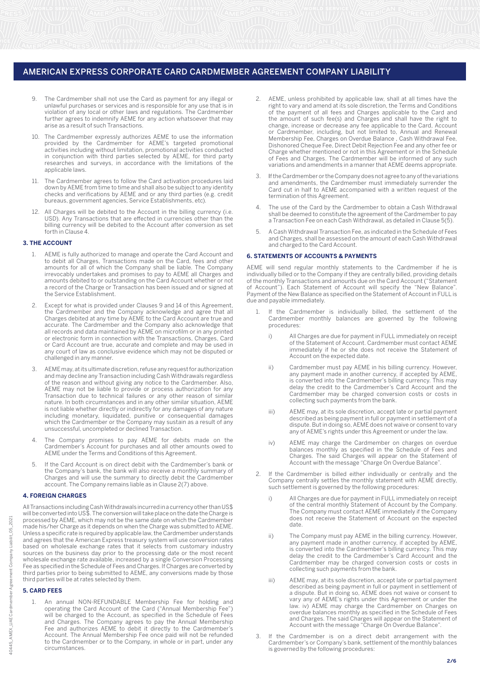- 9. The Cardmember shall not use the Card as payment for any illegal or unlawful purchases or services and is responsible for any use that is in violation of any local or other laws and regulations. The Cardmember further agrees to indemnify AEME for any action whatsoever that may arise as a result of such Transactions.
- 10. The Cardmember expressly authorizes AEME to use the information provided by the Cardmember for AEME's targeted promotional activities including without limitation, promotional activities conducted in conjunction with third parties selected by AEME, for third party researches and surveys, in accordance with the limitations of the applicable laws.
- 11. The Cardmember agrees to follow the Card activation procedures laid down by AEME from time to time and shall also be subject to any identity bureaus, government agencies, Service Establishments, etc). checks and verifications by AEME and or any third parties (e.g. credit
- 12. All Charges will be debited to the Account in the billing currency (i.e. USD). Any Transactions that are effected in currencies other than the billing currency will be debited to the Account after conversion as set forth in Clause 4.

#### **3. THE ACCOUNT**

- 1. AEME is fully authorized to manage and operate the Card Account and to debit all Charges, Transactions made on the Card, fees and other amounts for all of which the Company shall be liable. The Company irrevocably undertakes and promises to pay to AEME all Charges and amounts debited to or outstanding on the Card Account whether or not a record of the Charge or Transaction has been issued and or signed at the Service Establishment.
- Except for what is provided under Clauses 9 and 14 of this Agreement, the Cardmember and the Company acknowledge and agree that all Charges debited at any time by AEME to the Card Account are true and accurate. The Cardmember and the Company also acknowledge that all records and data maintained by AEME on microfilm or in any printed or electronic form in connection with the Transactions, Charges, Card or Card Account are true, accurate and complete and may be used in any court of law as conclusive evidence which may not be disputed or challenged in any manner.
- 3. AEME may, at its ultimate discretion, refuse any request for authorization and may decline any Transaction including Cash Withdrawals regardless of the reason and without giving any notice to the Cardmember. Also, AEME may not be liable to provide or process authorization for any Transaction due to technical failures or any other reason of similar nature. In both circumstances and in any other similar situation, AEME is not liable whether directly or indirectly for any damages of any nature including monetary, liquidated, punitive or consequential damages which the Cardmember or the Company may sustain as a result of any unsuccessful, uncompleted or declined Transaction.
- 4. The Company promises to pay AEME for debits made on the Cardmember's Account for purchases and all other amounts owed to AEME under the Terms and Conditions of this Agreement.
- 5. If the Card Account is on direct debit with the Cardmember's bank or the Company's bank, the bank will also receive a monthly summary of Charges and will use the summary to directly debit the Cardmember account. The Company remains liable as in Clause 2(7) above.

#### **4. FOREIGN CHARGES**

All Transactions including Cash Withdrawals incurred in a currency other than US\$ will be converted into US\$. The conversion will take place on the date the Charge is processed by AEME, which may not be the same date on which the Cardmember made his/her Charge as it depends on when the Charge was submitted to AEME. Unless a specific rate is required by applicable law, the Cardmember understands and agrees that the American Express treasury system will use conversion rates based on wholesale exchange rates that it selects from customary industry sources on the business day prior to the processing date or the most recent wholesale exchange rate available, increased by a single Conversion Processing Fee as specified in the Schedule of Fees and Charges. If Charges are converted by third parties prior to being submitted to AEME, any conversions made by those third parties will be at rates selected by them.

# **5. CARD FEES**

1. An annual NON-REFUNDABLE Membership Fee for holding and operating the Card Account of the Card ("Annual Membership Fee") will be charged to the Account, as specified in the Schedule of Fees and Charges. The Company agrees to pay the Annual Membership Fee and authorizes AEME to debit it directly to the Cardmember's Account. The Annual Membership Fee once paid will not be refunded to the Cardmember or to the Company, in whole or in part, under any circumstances.

- AEME, unless prohibited by applicable law, shall at all times have the right to vary and amend at its sole discretion, the Terms and Conditions of the payment of all fees and Charges applicable to the Card and the amount of such fee(s) and Charges and shall have the right to change, increase or decrease any fee applicable to the Card, Account or Cardmember, including, but not limited to, Annual and Renewal Membership Fee, Charges on Overdue Balance , Cash Withdrawal Fee, Dishonored Cheque Fee, Direct Debit Rejection Fee and any other fee or Charge whether mentioned or not in this Agreement or in the Schedule of Fees and Charges. The Cardmember will be informed of any such variations and amendments in a manner that AEME deems appropriate.
- 3. termination of this Agreement. Card cut in half to AEME accompanied with a written request of the If the Cardmember or the Company does not agree to any of the variations and amendments, the Cardmember must immediately surrender the
- 4. The use of the Card by the Cardmember to obtain a Cash Withdrawal shall be deemed to constitute the agreement of the Cardmember to pay a Transaction Fee on each Cash Withdrawal, as detailed in Clause 5(5).
- 5. A Cash Withdrawal Transaction Fee, as indicated in the Schedule of Fees and Charges, shall be assessed on the amount of each Cash Withdrawal and charged to the Card Account.

#### **6. STATEMENTS OF ACCOUNTS & PAYMENTS**

AEME will send regular monthly statements to the Cardmember if he is individually billed or to the Company if they are centrally billed, providing details of the monthly Transactions and amounts due on the Card Account ("Statement of Account"). Each Statement of Account will specify the "New Balance". Payment of the New Balance as specified on the Statement of Account in FULL is due and payable immediately.

- If the Cardmember is individually billed, the settlement of the Cardmember monthly balances are governed by the following procedures:
	- i) All Charges are due for payment in FULL immediately on receipt of the Statement of Account. Cardmember must contact AEME immediately if he or she does not receive the Statement of Account on the expected date.
	- ii) Cardmember must pay AEME in his billing currency. However, any payment made in another currency, if accepted by AEME, is converted into the Cardmember's billing currency. This may delay the credit to the Cardmember's Card Account and the Cardmember may be charged conversion costs or costs in collecting such payments from the bank.
	- iii) AEME may, at its sole discretion, accept late or partial payment described as being payment in full or payment in settlement of a dispute. But in doing so, AEME does not waive or consent to vary any of AEME's rights under this Agreement or under the law.
	- iv) AEME may charge the Cardmember on charges on overdue balances monthly as specified in the Schedule of Fees and Charges. The said Charges will appear on the Statement of Account with the message "Charge On Overdue Balance".
- 2. If the Cardmember is billed either individually or centrally and the Company centrally settles the monthly statement with AEME directly, such settlement is governed by the following procedures:
	- i) All Charges are due for payment in FULL immediately on receipt of the central monthly Statement of Account by the Company. The Company must contact AEME immediately if the Company does not receive the Statement of Account on the expected date.
	- ii) The Company must pay AEME in the billing currency. However, any payment made in another currency, if accepted by AEME, is converted into the Cardmember's billing currency. This may delay the credit to the Cardmember's Card Account and the Cardmember may be charged conversion costs or costs in collecting such payments from the bank.
	- iii) AEME may, at its sole discretion, accept late or partial payment described as being payment in full or payment in settlement of a dispute. But in doing so, AEME does not waive or consent to vary any of AEME's rights under this Agreement or under the law. iv) any of name origins and the rights more in and the law. iv) AEME may charge the Cardmember on Charges on overdue balances monthly as specified in the Schedule of Fees and Charges. The said Charges will appear on the Statement of Account with the message "Charge On Overdue Balance".
- 3. If the Cardmember is on a direct debit arrangement with the Cardmember's or Company's bank, settlement of the monthly balances is governed by the following procedures:

**2/6**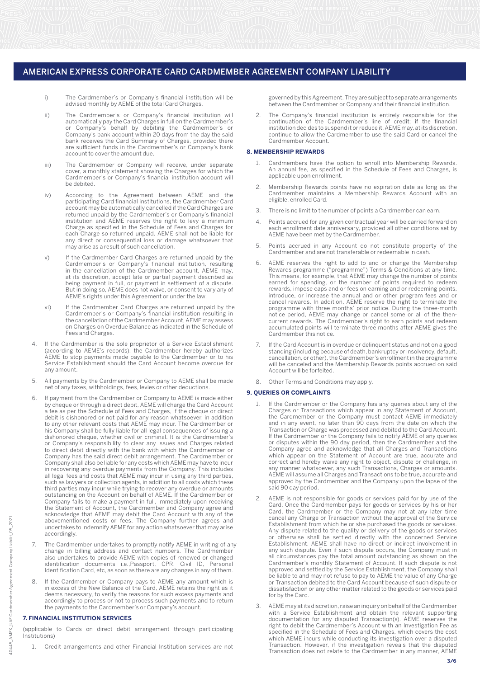- i) The Cardmember's or Company's financial institution will be advised monthly by AEME of the total Card Charges.
- ii) The Cardmember's or Company's financial institution will automatically pay the Card Charges in full on the Cardmember's or Company's behalf by debiting the Cardmember's or Company's bank account within 20 days from the day the said bank receives the Card Summary of Charges, provided there are sufficient funds in the Cardmember's or Company's bank account to cover the amount due.
- iii) The Cardmember or Company will receive, under separate cover, a monthly statement showing the Charges for which the Cardmember's or Company's financial institution account will be debited.
- iv) According to the Agreement between AEME and the participating Card financial institutions, the Cardmember Card account may be automatically cancelled if the Card Charges are returned unpaid by the Cardmember's or Company's financial institution and AEME reserves the right to levy a minimum Charge as specified in the Schedule of Fees and Charges for each Charge so returned unpaid. AEME shall not be liable for any direct or consequential loss or damage whatsoever that may arise as a result of such cancellation.
	- v) If the Cardmember Card Charges are returned unpaid by the Cardmember's or Company's financial institution, resulting in the cancellation of the Cardmember account, AEME may, at its discretion, accept late or partial payment described as But in doing so, AEME does not waive, or consent to vary any of AEME's rights under this Agreement or under the law. being payment in full, or payment in settlement of a dispute.
	- vi) Cardmember's or Company's financial institution resulting in the cancellation of the Cardmember Account, AEME may assess on Charges on Overdue Balance as indicated in the Schedule of Fees and Charges. If the Cardmember Card Charges are returned unpaid by the
	- 4. If the Cardmember is the sole proprietor of a Service Establishment (according to AEME's records), the Cardmember hereby authorizes AEME to stop payments made payable to the Cardmember or to his Service Establishment should the Card Account become overdue for any amount.
	- 5. All payments by the Cardmember or Company to AEME shall be made net of any taxes, withholdings, fees, levies or other deductions.
	- 6. If payment from the Cardmember or Company to AEME is made either by cheque or through a direct debit, AEME will charge the Card Account a fee as per the Schedule of Fees and Charges, if the cheque or direct debit is dishonored or not paid for any reason whatsoever, in addition to any other relevant costs that AEME may incur. The Cardmember or his Company shall be fully liable for all legal consequences of issuing a dishonored cheque, whether civil or criminal. It is the Cardmember's or Company's responsibility to clear any issues and Charges related to direct debit directly with the bank with which the Cardmember or Company has the said direct debit arrangement. The Cardmember or Company shall also be liable for any costs which AEME may have to incur in recovering any overdue payments from the Company. This includes all legal fees and costs that AEME may incur in using any third parties, such as lawyers or collection agents, in addition to all costs which these third parties may incur while trying to recover any overdue or amounts outstanding on the Account on behalf of AEME. If the Cardmember or Company fails to make a payment in full, immediately upon receiving acknowledge that AEME may debit the Card Account with any of the abovementioned costs or fees. The Company further agrees and undertakes to indemnify AEME for any action whatsoever that may arise accordingly. the Statement of Account, the Cardmember and Company agree and
	- 7. The Cardmember undertakes to promptly notify AEME in writing of any<br>change in billing address and contact numbers. The Cardmember also undertakes to provide AEME with copies of renewed or changed identification documents i.e.,Passport, CPR, Civil ID, Personal Identification Card, etc, as soon as there are any changes in any of them.
	- 8. If the Cardmember or Company pays to AEME any amount which is in excess of the New Balance of the Card, AEME retains the right as it accordingly to process or not to process such payments and to return the payments to the Cardmember's or Company's account. deems necessary, to verify the reasons for such excess payments and

#### **7. FINANCIAL INSTITUTION SERVICES**

(applicable to Cards on direct debit arrangement through participating Institutions)

1. Credit arrangements and other Financial Institution services are not

governed by this Agreement. They are subject to separate arrangements between the Cardmember or Company and their financial institution.

The Company's financial institution is entirely responsible for the continuation of the Cardmember's line of credit; if the financial institution decides to suspend it or reduce it, AEME may, at its discretion, continue to allow the Cardmember to use the said Card or cancel the Cardmember Account.

#### **8. MEMBERSHIP REWARDS**

- 1. Cardmembers have the option to enroll into Membership Rewards. An annual fee, as specified in the Schedule of Fees and Charges, is applicable upon enrollment.
- 2. Membership Rewards points have no expiration date as long as the Cardmember maintains a Membership Rewards Account with an eligible, enrolled Card.
- 3. There is no limit to the number of points a Cardmember can earn.
- 4. Points accrued for any given contractual year will be carried forward on each enrollment date anniversary, provided all other conditions set by AEME have been met by the Cardmember.
- 5. Points accrued in any Account do not constitute property of the Cardmember and are not transferable or redeemable in cash.
- 6. AEME reserves the right to add to and or change the Membership Rewards programme ("programme") Terms & Conditions at any time. This means, for example, that AEME may change the number of points earned for spending, or the number of points required to redeem rewards, impose caps and or fees on earning and or redeeming points, introduce, or increase the annual and or other program fees and or cancel rewards. In addition, AEME reserve the right to terminate the programme with three months' prior notice. During the three-month notice period, AEME may change or cancel some or all of the thencurrent rewards. The Cardmember's right to earn points and redeem accumulated points will terminate three months after AEME gives the Cardmember this notice.
- 7. If the Card Account is in overdue or delinquent status and not on a good standing (including because of death, bankruptcy or insolvency, default, cancellation, or other), the Cardmember's enrollment in the programme will be canceled and the Membership Rewards points accrued on said Account will be forfeited.
- 8. Other Terms and Conditions may apply.

#### **9. QUERIES OR COMPLAINTS**

- 1. If the Cardmember or the Company has any queries about any of the Charges or Transactions which appear in any Statement of Account, the Cardmember or the Company must contact AEME immediately and in any event, no later than 90 days from the date on which the Transaction or Charge was processed and debited to the Card Account. If the Cardmember or the Company fails to notify AEME of any queries or disputes within the 90 day period, then the Cardmember and the Company agree and acknowledge that all Charges and Transactions which appear on the Statement of Account are true, accurate and correct and hereby waive any right to object, dispute or challenge, in any manner whatsoever, any such Transactions, Charges or amounts. AEME will assume all Charges and Transactions to be true, accurate and approved by the Cardmember and the Company upon the lapse of the said 90 day period.
- 2. AEME is not responsible for goods or services paid for by use of the Card. Once the Cardmember pays for goods or services by his or her Card, the Cardmember or the Company may not at any later time cancel any Charge or Transaction without the approval of the Service Establishment from which he or she purchased the goods or services. Any dispute related to the quality or delivery of the goods or services or otherwise shall be settled directly with the concerned Service Establishment. AEME shall have no direct or indirect involvement in any such dispute. Even if such dispute occurs, the Company must in all circumstances pay the total amount outstanding as shown on the Cardmember's monthly Statement of Account. If such dispute is not approved and settled by the Service Establishment, the Company shall be liable to and may not refuse to pay to AEME the value of any Charge or Transaction debited to the Card Account because of such dispute or dissatisfaction or any other matter related to the goods or services paid for by the Card.
- 3. AEME may at its discretion, raise an inquiry on behalf of the Cardmember with a Service Establishment and obtain the relevant supporting documentation for any disputed Transaction(s). AEME reserves the right to debit the Cardmember's Account with an Investigation Fee as specified in the Schedule of Fees and Charges, which covers the cost which AEME incurs while conducting its investigation over a disputed Transaction. However, if the investigation reveals that the disputed Transaction does not relate to the Cardmember in any manner, AEME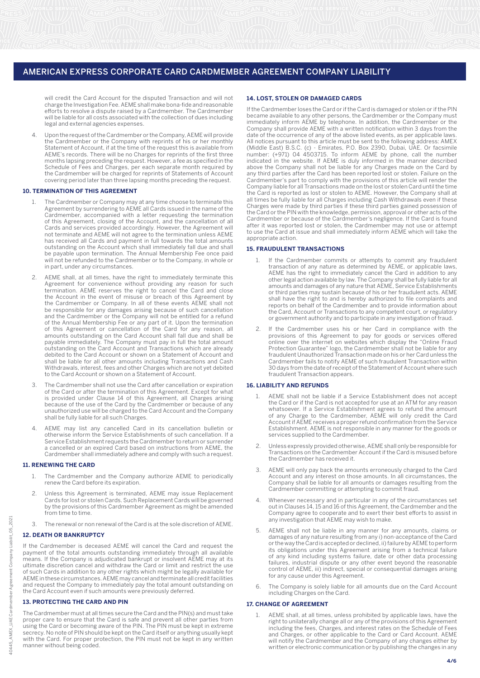will credit the Card Account for the disputed Transaction and will not charge the Investigation Fee. AEME shall make bona-fide and reasonable efforts to resolve a dispute raised by a Cardmember. The Cardmember will be liable for all costs associated with the collection of dues including legal and external agencies expenses.

4. Upon the request of the Cardmember or the Company, AEME will provide the Cardmember or the Company with reprints of his or her monthly Statement of Account, if at the time of the request this is available from AEME's records. There will be no Charges for reprints of the first three months lapsing preceding the request. However, a fee as specified in the Schedule of Fees and Charges, per each separate month required by the Cardmember will be charged for reprints of Statements of Account covering period later than three lapsing months preceding the request.

## **10. TERMINATION OF THIS AGREEMENT**

- 1. The Cardmember or Company may at any time choose to terminate this Agreement by surrendering to AEME all Cards issued in the name of the Cardmember, accompanied with a letter requesting the termination of this Agreement, closing of the Account, and the cancellation of all Cards and services provided accordingly. However, the Agreement will not terminate and AEME will not agree to the termination unless AEME has received all Cards and payment in full towards the total amounts outstanding on the Account which shall immediately fall due and shall be payable upon termination. The Annual Membership Fee once paid will not be refunded to the Cardmember or to the Company, in whole or in part, under any circumstances.
- 2. AEME shall, at all times, have the right to immediately terminate this Agreement for convenience without providing any reason for such termination. AEME reserves the right to cancel the Card and close the Account in the event of misuse or breach of this Agreement by the Cardmember or Company. In all of these events AEME shall not be responsible for any damages arising because of such cancellation and the Cardmember or the Company will not be entitled for a refund of the Annual Membership Fee or any part of it. Upon the termination of this Agreement or cancellation of the Card for any reason, all amounts outstanding on the Card Account shall fall due and shall be payable immediately. The Company must pay in full the total amount outstanding on the Card Account and Transactions which are already debited to the Card Account or shown on a Statement of Account and shall be liable for all other amounts including Transactions and Cash Withdrawals, interest, fees and other Charges which are not yet debited to the Card Account or shown on a Statement of Account.
- 3. The Cardmember shall not use the Card after cancellation or expiration of the Card or after the termination of this Agreement. Except for what is provided under Clause 14 of this Agreement, all Charges arising because of the use of the Card by the Cardmember or because of any unauthorized use will be charged to the Card Account and the Company shall be fully liable for all such Charges.
- 4. AEME may list any cancelled Card in its cancellation bulletin or otherwise inform the Service Establishments of such cancellation. If a Service Establishment requests the Cardmember to return or surrender a cancelled or an expired Card based on instructions from AEME, the Cardmember shall immediately adhere and comply with such a request.

#### **11. RENEWING THE CARD**

- 1. The Cardmember and the Company authorize AEME to periodically renew the Card before its expiration.
- 2. Unless this Agreement is terminated, AEME may issue Replacement Cards for lost or stolen Cards. Such Replacement Cards will be governed by the provisions of this Cardmember Agreement as might be amended from time to time.
- 3. The renewal or non renewal of the Card is at the sole discretion of AEME.

#### **12. DEATH OR BANKRUPTCY**

If the Cardmember is deceased AEME will cancel the Card and request the payment of the total amounts outstanding immediately through all available means. If the Company is adjudicated bankrupt or insolvent AEME may at its ultimate discretion cancel and withdraw the Card or limit and restrict the use of such Cards in addition to any other rights which might be legally available for AEME in these circumstances. AEME may cancel and terminate all credit facilities and request the Company to immediately pay the total amount outstanding on the Card Account even if such amounts were previously deferred.

## **13. PROTECTING THE CARD AND PIN**

The Cardmember must at all times secure the Card and the PIN(s) and must take proper care to ensure that the Card is safe and prevent all other parties from using the Card or becoming aware of the PIN. The PIN must be kept in extreme secrecy. No note of PIN should be kept on the Card itself or anything usually kept with the Card. For proper protection, the PIN must not be kept in any written manner without being coded.

#### **14. LOST, STOLEN OR DAMAGED CARDS**

If the Cardmember loses the Card or if the Card is damaged or stolen or if the PIN became available to any other persons, the Cardmember or the Company must immediately inform AEME by telephone. In addition, the Cardmember or the Company shall provide AEME with a written notification within 3 days from the date of the occurrence of any of the above listed events, as per applicable laws. All notices pursuant to this article must be sent to the following address: AMEX (Middle East) B.S.C. (c) - Emirates, P.O. Box 2390, Dubai, UAE. Or facsimile number: (+971) 04 4503715. To inform AEME by phone, call the number indicated in the website. If AEME is duly informed in the manner described above the Company shall not be liable for any Charges made on the Card by any third parties after the Card has been reported lost or stolen. Failure on the Cardmember's part to comply with the provisions of this article will render the Company liable for all Transactions made on the lost or stolen Card until the time the Card is reported as lost or stolen to AEME. However, the Company shall at all times be fully liable for all Charges including Cash Withdrawals even if these Charges were made by third parties if these third parties gained possession of the Card or the PIN with the knowledge, permission, approval or other acts of the Cardmember or because of the Cardmember's negligence. If the Card is found after it was reported lost or stolen, the Cardmember may not use or attempt to use the Card at issue and shall immediately inform AEME which will take the appropriate action.

#### **15. FRAUDULENT TRANSACTIONS**

- If the Cardmember commits or attempts to commit any fraudulent transaction of any nature as determined by AEME, or applicable laws, AEME has the right to immediately cancel the Card in addition to any other legal action available by law. The Company shall be fully liable for all amounts and damages of any nature that AEME, Service Establishments or third parties may sustain because of his or her fraudulent acts. AEME shall have the right to and is hereby authorized to file complaints and reports on behalf of the Cardmember and to provide information about the Card, Account or Transactions to any competent court, or regulatory or government authority and to participate in any investigation of fraud.
- 2. If the Cardmember uses his or her Card in compliance with the provisions of this Agreement to pay for goods or services offered online over the internet on websites which display the "Online Fraud Protection Guarantee" logo, the Cardmember shall not be liable for any fraudulent Unauthorized Transaction made on his or her Card unless the Cardmember fails to notify AEME of such fraudulent Transaction within 30 days from the date of receipt of the Statement of Account where such fraudulent Transaction appears.

#### **16. LIABILITY AND REFUNDS**

- 1. AEME shall not be liable if a Service Establishment does not accept the Card or if the Card is not accepted for use at an ATM for any reason whatsoever. If a Service Establishment agrees to refund the amount of any Charge to the Cardmember, AEME will only credit the Card Account if AEME receives a proper refund confirmation from the Service Establishment. AEME is not responsible in any manner for the goods or services supplied to the Cardmember.
- 2. Unless expressly provided otherwise, AEME shall only be responsible for Transactions on the Cardmember Account if the Card is misused before the Cardmember has received it.
- 3. AEME will only pay back the amounts erroneously charged to the Card Account and any interest on those amounts. In all circumstances, the Company shall be liable for all amounts or damages resulting from the Cardmember committing or attempting to commit fraud.
- 4. Whenever necessary and in particular in any of the circumstances set out in Clauses 14, 15 and 16 of this Agreement, the Cardmember and the Company agree to cooperate and to exert their best efforts to assist in any investigation that AEME may wish to make.
- 5. AEME shall not be liable in any manner for any amounts, claims or damages of any nature resulting from any i) non-acceptance of the Card or the way the Card is accepted or declined, ii) failure by AEME to perform its obligations under this Agreement arising from a technical failure of any kind including systems failure, date or other data processing failures, industrial dispute or any other event beyond the reasonable control of AEME, iii) indirect, special or consequential damages arising for any cause under this Agreement.
- 6. The Company is solely liable for all amounts due on the Card Account including Charges on the Card.

## **17. CHANGE OF AGREEMENT**

1. AEME shall, at all times, unless prohibited by applicable laws, have the right to unilaterally change all or any of the provisions of this Agreement including the fees, Charges, and interest rates on the Schedule of Fees and Charges, or other applicable to the Card or Card Account. AEME will notify the Cardmember and the Company of any changes either by written or electronic communication or by publishing the changes in any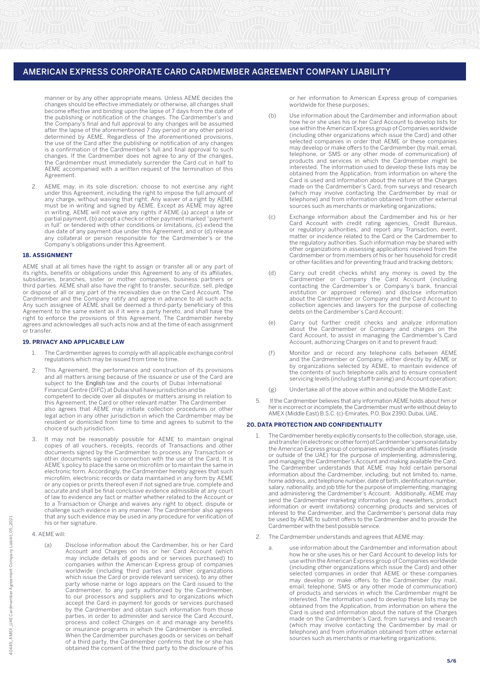manner or by any other appropriate means. Unless AEME decides the changes should be effective immediately or otherwise, all changes shall become effective and binding upon the lapse of 7 days from the date of the publishing or notification of the changes. The Cardmember's and the Company's final and full approval to any changes will be assumed after the lapse of the aforementioned 7 day period or any other period determined by AEME. Regardless of the aforementioned provisions, the use of the Card after the publishing or notification of any changes is a confirmation of the Cardmember's full and final approval to such changes. If the Cardmember does not agree to any of the changes, the Cardmember must immediately surrender the Card cut in half to AEME accompanied with a written request of the termination of this Agreement.

2. AEME may, in its sole discretion, choose to not exercise any right under this Agreement, including the right to impose the full amount of any charge, without waiving that right. Any waiver of a right by AEME must be in writing and signed by AEME. Except as AEME may agree in writing, AEME will not waive any rights if AEME (a) accept a late or partial payment, (b) accept a check or other payment marked "payment in full" or tendered with other conditions or limitations, (c) extend the due date of any payment due under this Agreement, and or (d) release any collateral or person responsible for the Cardmember's or the Company's obligations under this Agreement.

#### **18. ASSIGNMENT**

AEME shall at all times have the right to assign or transfer all or any part of its rights, benefits or obligations under this Agreement to any of its affiliates, subsidiaries, branches, sister or mother companies, business partners or third parties. AEME shall also have the right to transfer, securitize, sell, pledge or dispose of all or any part of the receivables due on the Card Account. The Cardmember and the Company ratify and agree in advance to all such acts. Any such assignee of AEME shall be deemed a third-party beneficiary of this Agreement to the same extent as if it were a party hereto, and shall have the right to enforce the provisions of this Agreement. The Cardmember hereby agrees and acknowledges all such acts now and at the time of each assignment or transfer.

### **19. PRIVACY AND APPLICABLE LAW**

- 1. The Cardmember agrees to comply with all applicable exchange control regulations which may be issued from time to time.
- 2. This Agreement, the performance and construction of its provisions and all matters arising because of the issuance or use of the Card are Financial Centre (DIFC) at Dubai shall have jurisdiction and be competent to decide over all disputes or matters arising in relation to this Agreement, the Card or other relevant matter. The Cardmember also agrees that AEME may initiate collection procedures or other legal action in any other jurisdiction in which the Cardmember may be resident or domiciled from time to time and agrees to submit to the choice of such jurisdiction. subject to the English law and the courts of Dubai International
- 3. It may not be reasonably possible for AEME to maintain original copies of all vouchers, receipts, records of Transactions and other documents signed by the Cardmember to process any Transaction or other documents signed in connection with the use of the Card. It is AEME's policy to place the same on microfilm or to maintain the same in electronic form. Accordingly, the Cardmember hereby agrees that such microfilm, electronic records or data maintained in any form by AEME or any copies or prints thereof even if not signed are true, complete and accurate and shall be final conclusive evidence admissible at any court of law to evidence any fact or matter whether related to the Account or to a Transaction or Charge and waives any right to object, dispute or challenge such evidence in any manner. The Cardmember also agrees that any such evidence may be used in any procedure for verification of his or her signature.

4. AEME will:

 (a) Disclose information about the Cardmember, his or her Card Account and Charges on his or her Card Account (which may include details of goods and or services purchased) to companies within the American Express group of companies worldwide (including third parties and other organizations which issue the Card or provide relevant services), to any other party whose name or logo appears on the Card issued to the Cardmember, to any party authorized by the Cardmember, to our processors and suppliers and to organizations which accept the Card in payment for goods or services purchased by the Cardmember and obtain such information from those parties, in order to administer and service the Card Account, process and collect Charges on it and manage any benefits or insurance programs in which the Cardmember is enrolled. When the Cardmember purchases goods or services on behalf of a third party, the Cardmember confirms that he or she has obtained the consent of the third party to the disclosure of his

or her information to American Express group of companies worldwide for these purposes;

- (b) Use information about the Cardmember and information about how he or she uses his or her Card Account to develop lists for use within the American Express group of Companies worldwide (including other organizations which issue the Card) and other selected companies in order that AEME or these companies may develop or make offers to the Cardmember (by mail, email, telephone, or SMS or any other mode of communication) of products and services in which the Cardmember might be interested. The information used to develop these lists may be obtained from the Application, from information on where the Card is used and information about the nature of the Charges made on the Cardmember's Card, from surveys and research (which may involve contacting the Cardmember by mail or telephone) and from information obtained from other external sources such as merchants or marketing organizations;
- (c) Exchange information about the Cardmember and his or her Card Account with credit rating agencies, Credit Bureaus, or regulatory authorities, and report any Transaction, event, matter or incidence related to the Card or the Cardmember to the regulatory authorities. Such information may be shared with other organizations in assessing applications received from the Cardmember or from members of his or her household for credit or other facilities and for preventing fraud and tracking debtors;
- (d) Carry out credit checks whilst any money is owed by the Cardmember or Company the Card Account (including contacting the Cardmember's or Company's bank, financial institution or approved referee) and disclose information about the Cardmember or Company and the Card Account to collection agencies and lawyers for the purpose of collecting debts on the Cardmember's Card Account;
	- (e) Carry out further credit checks and analyze information about the Cardmember or Company and charges on the Card Account, to assist in managing the Cardmember's Card Account, authorizing Charges on it and to prevent fraud;
	- (f) Monitor and or record any telephone calls between AEME and the Cardmember or Company, either directly by AEME or by organizations selected by AEME, to maintain evidence of the contents of such telephone calls and to ensure consistent servicing levels (including staff training) and Account operation;
	- (g) Undertake all of the above within and outside the Middle East;
	- 5. If the Cardmember believes that any information AEME holds about him or her is incorrect or incomplete, the Cardmember must write without delay to AMEX (Middle East) B.S.C. (c)-Emirates, P.O. Box 2390, Dubai, UAE.

#### **20. DATA PROTECTION AND CONFIDENTIALITY**

- 1. The Cardmember hereby explicitly consents to the collection, storage, use, and transfer (in electronic or other form) of Cardmember's personal data by the American Express group of companies worldwide and affiliates (inside or outside of the UAE) for the purpose of implementing, administering, and managing the Cardmember's Account and making available the Card. The Cardmember understands that AEME may hold certain personal information about the Cardmember, including, but not limited to, name, home address, and telephone number, date of birth, identification number, salary, nationality, and job title for the purpose of implementing, managing and administering the Cardmember's Account. Additionally, AEME may send the Cardmember marketing information (e.g. newsletters, product information or event invitations) concerning products and services of interest to the Cardmember, and the Cardmember's personal data may be used by AEME to submit offers to the Cardmember and to provide the Cardmember with the best possible service.
- 2. The Cardmember understands and agrees that AEME may:
	- a. use information about the Cardmember and information about how he or she uses his or her Card Account to develop lists for use within the American Express group of Companies worldwide (including other organizations which issue the Card) and other selected companies in order that AEME or these companies may develop or make offers to the Cardmember (by mail, email, telephone, SMS or any other mode of communication) of products and services in which the Cardmember might be interested. The information used to develop these lists may be obtained from the Application, from information on where the Card is used and information about the nature of the Charges made on the Cardmember's Card, from surveys and research (which may involve contacting the Cardmember by mail or telephone) and from information obtained from other external sources such as merchants or marketing organizations;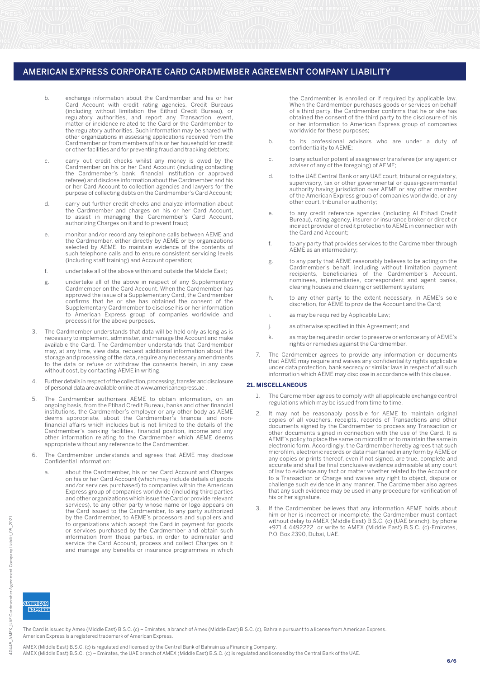- b. exchange information about the Cardmember and his or her Card Account with credit rating agencies, Credit Bureaus (including without limitation the Eithad Credit Bureau), or regulatory authorities, and report any Transaction, event, matter or incidence related to the Card or the Cardmember to the regulatory authorities. Such information may be shared with other organizations in assessing applications received from the Cardmember or from members of his or her household for credit or other facilities and for preventing fraud and tracking debtors;
- c. carry out credit checks whilst any money is owed by the Cardmember on his or her Card Account (including contacting the Cardmember's bank, financial institution or approved referee) and disclose information about the Cardmember and his or her Card Account to collection agencies and lawyers for the purpose of collecting debts on the Cardmember's Card Account;
	- d. carry out further credit checks and analyze information about the Cardmember and charges on his or her Card Account, to assist in managing the Cardmember's Card Account, authorizing Charges on it and to prevent fraud;
- e. monitor and/or record any telephone calls between AEME and the Cardmember, either directly by AEME or by organizations selected by AEME, to maintain evidence of the contents of such telephone calls and to ensure consistent servicing levels (including staff training) and Account operation;
	- f. undertake all of the above within and outside the Middle East;
- g. undertake all of the above in respect of any Supplementary Cardmember on the Card Account. When the Cardmember has approved the issue of a Supplementary Card, the Cardmember confirms that he or she has obtained the consent of the Supplementary Cardmember to disclose his or her information to American Express group of companies worldwide and process it for the above purposes.
	- 3. The Cardmember understands that data will be held only as long as is necessary to implement, administer, and manage the Account and make available the Card. The Cardmember understands that Cardmember may, at any time, view data, request additional information about the storage and processing of the data, require any necessary amendments to the data or refuse or withdraw the consents herein, in any case without cost, by contacting AEME in writing.
	- 4. Further details in respect of the collection, processing, transfer and disclosure of personal data are available online at www.americanexpress.ae .
	- 5. The Cardmember authorises AEME to obtain information, on an ongoing basis, from the Etihad Credit Bureau, banks and other financial institutions, the Cardmember's employer or any other body as AEME deems appropriate, about the Cardmember's financial and nonfinancial affairs which includes but is not limited to the details of the Cardmember's banking facilities, financial position, income and any other information relating to the Cardmember which AEME deems appropriate without any reference to the Cardmember.
	- 6. The Cardmember understands and agrees that AEME may disclose Confidential Information:
		- a. about the Cardmember, his or her Card Account and Charges on his or her Card Account (which may include details of goods and/or services purchased) to companies within the American Express group of companies worldwide (including third parties and other organizations which issue the Card or provide relevant services), to any other party whose name or logo appears on the Card issued to the Cardmember, to any party authorized by the Cardmember, to AEME's processors and suppliers and to organizations which accept the Card in payment for goods or services purchased by the Cardmember and obtain such information from those parties, in order to administer and service the Card Account, process and collect Charges on it and manage any benefits or insurance programmes in which

the Cardmember is enrolled or if required by applicable law. When the Cardmember purchases goods or services on behalf of a third party, the Cardmember confirms that he or she has obtained the consent of the third party to the disclosure of his or her information to American Express group of companies worldwide for these purposes;

- b. to its professional advisors who are under a duty of confidentiality to AEME;
- c. to any actual or potential assignee or transferee (or any agent or adviser of any of the foregoing) of AEME;
	- d. to the UAE Central Bank or any UAE court, tribunal or regulatory, supervisory, tax or other governmental or quasi-governmental authority having jurisdiction over AEME or any other member of the American Express group of companies worldwide, or any other court, tribunal or authority;
- e. to any credit reference agencies (including Al Etihad Credit Bureau), rating agency, insurer or insurance broker or direct or indirect provider of credit protection to AEME in connection with the Card and Account;
	- f. to any party that provides services to the Cardmember through AEME as an intermediary;
- g. to any party that AEME reasonably believes to be acting on the Cardmember's behalf, including without limitation payment recipients, beneficiaries of the Cardmember's Account, nominees, intermediaries, correspondent and agent banks, clearing houses and clearing or settlement system;
- h. to any other party to the extent necessary, in AEME's sole discretion, for AEME to provide the Account and the Card;
	- i. as may be required by Applicable Law;
	- j. as otherwise specified in this Agreement; and
	- k. as may be required in order to preserve or enforce any of AEME's rights or remedies against the Cardmember.
	- The Cardmember agrees to provide any information or documents that AEME may require and waives any confidentiality rights applicable under data protection, bank secrecy or similar laws in respect of all such information which AEME may disclose in accordance with this clause.

#### **21. MISCELLANEOUS**

- 1. The Cardmember agrees to comply with all applicable exchange control regulations which may be issued from time to time.
- 2. It may not be reasonably possible for AEME to maintain original copies of all vouchers, receipts, records of Transactions and other documents signed by the Cardmember to process any Transaction or other documents signed in connection with the use of the Card. It is AEME's policy to place the same on microfilm or to maintain the same in electronic form. Accordingly, the Cardmember hereby agrees that such microfilm, electronic records or data maintained in any form by AEME or any copies or prints thereof, even if not signed, are true, complete and accurate and shall be final conclusive evidence admissible at any court of law to evidence any fact or matter whether related to the Account or to a Transaction or Charge and waives any right to object, dispute or challenge such evidence in any manner. The Cardmember also agrees that any such evidence may be used in any procedure for verification of his or her signature.
- If the Cardmember believes that any information AEME holds about him or her is incorrect or incomplete, the Cardmember must contact without delay to AMEX (Middle East) B.S.C. (c) (UAE branch), by phone +971 4 4492222 or write to AMEX (Middle East) B.S.C. (c)-Emirates, P.O. Box 2390, Dubai, UAE.

40445

**MERICAN**  $EXR$ 

The Card is issued by Amex (Middle East) B.S.C. (c) – Emirates, a branch of Amex (Middle East) B.S.C. (c), Bahrain pursuant to a license from American Express. American Express is a registered trademark of American Express.

AMEX (Middle East) B.S.C. (c) is regulated and licensed by the Central Bank of Bahrain as a Financing Company. AMEX (Middle East) B.S.C. (c) – Emirates, the UAE branch of AMEX (Middle East) B.S.C. (c) is regulated and licensed by the Central Bank of the UAE.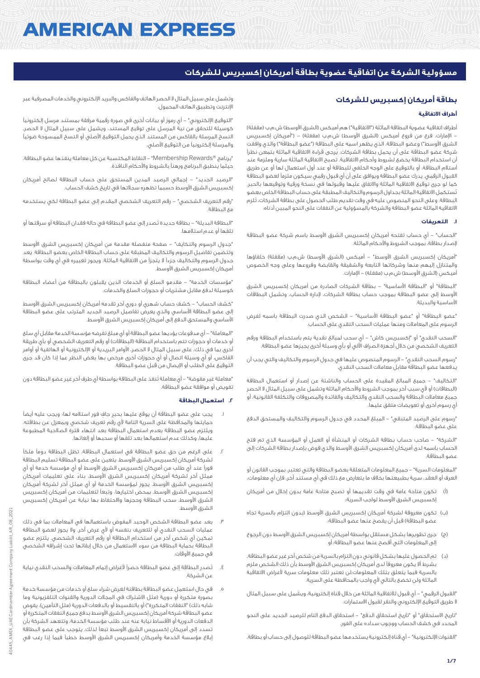# **AMERICAN EXPRESS**

# **مسؤولية الشركة عن اتفاقية عضوية بطاقة أمريكان إكسبريس للشركات**

# **بطاقة أمريكان إكسبريس للشركات**

# **أطراف االتفاقية**

أطراف اتفاقية عضوية البطاقة الماثلة ("الاتفاقية") هم أميكس (الشرق الأوسط) ش.م.ب (مقفلة) الإمارات، فرع من فروع أميكس (الشرق الأوسط) ش.م.ب (مقفلة) – ("أمريكان إكسبريس الشرق الأوسط") وعضو البطاقة، الذي يظهر اسمه على البطاقة ("عضو البطاقة") والذي وافقت شركة عضو البطاقة على أن يحمل بطاقة الشركات. يُرجى قراءة االتفاقية الماثلة بتمعن نظراً أن استخدام البطاقة يخضع لشروط وأحكام االتفاقية. تصبح االتفاقية الماثلة سارية وملزمة عند أستالم البطاقة، أو بالتوقيع على الوجه الخلفي للبطاقة أو عند أول استعمال لها أو عن طريق القبول الرقمي. يدرك عضو البطاقة ويوافق على أن أي قبول رقمي سيكون ملزماً لعضو البطاقة كما لو جرى توقيع االتفاقية الماثلة واالتفاق عليها وقبولها في نسخة ورقية وتوقيعها بالحبر. تُستكمل االتفاقية الماثلة بجداول الرسوم والتكاليف المطبقة على حساب البطاقة الخاص بعضو البطاقة. وعلى النحو المنصوص عليه في وقت تقديم طلب الحصول على بطاقة الشركات، تُلزم االتفاقية الماثلة عضو البطاقة والشركة بالمسؤولية عن النفقات على النحو المبين أدناه:

#### **.1 التعريفات**

"الحساب" - أي حساب تفتحه أمريكان إكسبريس الشرق األوسط باسم شركة عضو البطاقة إلصدار بطاقة، بموجب الشروط واألحكام الماثلة.

"أمريكان إكسبريس الشرق الأوسط" – أميكس (الشرق الأوسط) ش.م.ب (مقفلة) خلفاؤها والمتنازل إليهم منها وشركاتها التابعة والشقيقة والقابضة وفروعها وعلى وجه الخصوص أميكس (الشرق الأوسط) ش.م.ب (مقفلة) – الإمارات.

"البطاقة" أو "البطاقة األساسية" - بطاقة الشركات الصادرة من أمريكان إكسبريس الشرق األوسط إلى عضو البطاقة بموجب حساب بطاقة الشركات، إلدارة الحساب، وتشمل البطاقات األساسية والبديلة.

"عضو البطاقة" أو "عضو البطاقة األساسية" - الشخص الذي صدرت البطاقة باسمه لفرض الرسوم على المعامالت ومنها عمليات السحب النقدي على الحساب.

"السحب النقدي" أو "إكسبريس كاش" - أي سحب لمبالغ نقدية يتم باستخدام البطاقة ورقم التعريف الشخصي من خالل أجهزة الصراف اآللي أو بأي وسيلة أخرى يجيزها عضو البطاقة.

"رسوم السحب النقدي" - الرسوم المنصوص عليها في جدول الرسوم والتكاليف والتي يجب أن يدفعها عضو البطاقة مقابل معامالت السحب النقدي.

"التكاليف" - جميع المبالغ المقيدة على الحساب والناشئة عن إصدار أو استعمال البطاقة (البطاقات) أو لأى سبب آخر بموجب الشروط والأحكام الماثلة وتشمل على سبيل المثال لا الحصر جميع معامالت البطاقة والسحب النقدي والتكاليف والفائدة والمصروفات والتكلفة القانونية، أو أي رسوم أخرى أو تعويضات متفق عليها.

"رسوم على الرصيد المتبقي" - المبلغ المحدد في جدول الرسوم والتكاليف والمستحق الدفع على عضو البطاقة.

"الشركة" - صاحب حساب بطاقة الشركات أو المنشأة أو العمل أو المؤسسة الذي تم فتح الحساب باسمه لدى أمريكان إكسبريس الشرق األوسط والذي فوض بإصدار بطاقة الشركات إلى عضو البطاقة.

"المعلومات السرية" - جميع المعلومات المتعلقة بعضو البطاقة والتي تعتبر، بموجب القانون أو العرف أو العقد، سرية بطبيعتها بخالف ما يتعارض مع ذلك في أي مستند آخر، فإن أي معلومات:

- )أ( تكون متاحة عامة في وقت تقديمها أو تصبح متاحة عامة بدون إخالل من أمريكان إكسبريس الشرق األوسط لواجب السرية؛
- )ب( تكون معروفة لشركة أمريكان إكسبريس الشرق األوسط )بدون التزام بالسرية تجاه عضو البطاقة) قبل أن يفصح عنها عضو البطاقة؛
- )ج( جرى تطويرها بشكل مستقل بواسطة أمريكان إكسبريس الشرق األوسط دون الرجوع إلى المعلومات التي أفصح عنها عضو البطاقة؛ أو
- )د( تم الحصول عليها بشكل قانوني دون التزام بالسرية من شخص آخر غير عضو البطاقة، بشرط أال يكون معروفاً لدى أمريكان إكسبريس الشرق األوسط بأن ذلك الشخص ملزم بالسرية فيما يتعلق بتلك المعلومات،لن تعتبر تلك معلومات سرية ألغراض االتفاقية الماثلة ولن تخضع بالتالي لأي واجب بالمحافظة على السرية.

"القبول الرقمي" - أي قبول لالتفاقية الماثلة من خالل قناة إلكترونية، ويشمل على سبيل المثال ال طريق التوقيع اإللكتروني والنقر لقبول االستمارات.

"تاريخ االستحقاق" أو "تاريخ استحقاق الدفع" - استحقاق الدفع التام للرصيد الجديد على النحو المحدد في كشف الحساب ووجوب سداده على الفور.

"القنوات اإللكترونية" - أي قناة إلكترونية يستخدمها عضو البطاقة للوصول إلى حساب أو بطاقة،

وتشمل على سبيل المثال ال الحصر الهاتف والفاكس والبريد اإللكتروني والخدمات المصرفية عبر اإلنترنت وتطبيق الهاتف المحمول.

"التوقيع اإللكتروني" - أي رموز أو بيانات أخرى في صورة رقمية مرفقة بمستند مرسل إلكترونياً كوسيلة للتحقق من نية المرسل على توقيع المستند، ويشمل على سبيل المثال ال الحصر، النسخ المرسلة بالفاكس من المستند الذي يحمل التوقيع األصلي أو النسخ الممسوحة ضوئياً والمرسلة إلكترونياً من التوقيع األصلي.

"برنامج RRewards Membership "- النقاط المكتسبة عن كل معاملة ينفذها عضو البطاقة، حيثما ينطبق البرنامج ورهناً بالشروط واألحكام النافذة.

"الرصيد الجديد" - إجمالي الرصيد المدين المستحق على حساب البطاقة لصالح أمريكان إكسبريس الشرق األوسط حسبما تظهره سجالتها في تاريخ كشف الحساب.

"رقم التعريف الشخصي" - رقم التعريف الشخصي المقدم إلى عضو البطاقة لكي يستخدمه مع البطاقة.

"البطاقة البديلة" - بطاقة جديدة تُصدر إلى عضو البطاقة في حالة فقدان البطاقة أو سرقتها أو تلفها أو عدم استالمها.

"جدول الرسوم والتكايف" - صفحة منفصلة مقدمة من أمريكان إكسبريس الشرق األوسط وتتضمن تفاصيل الرسوم والتكاليف المطبقة على حساب البطاقة الخاص بعضو البطاقة. يعد جدول الرسوم والتكاليف جزءاً ال يتجزأ من االتفاقية الماثلة، ويجوز تغييره في أي وقت بواسطة أمريكان إكسبريس الشرق األوسط.

"مؤسسات الخدمة" - مقدمو السلع أو الخدمات الذين يقبلون بالبطاقة من أعضاء البطاقة كوسيلة لدفع مقابل مشتريات أو حجوزات السلع والخدمات.

"كشف الحساب" - كشف حساب شهري أو دوري آخر تقدمه أمريكان إكسبريس الشرق األوسط إلى عضو البطاقة األساسي والذي يعرض تفاصيل الرصيد الجديد المترتب على عضو البطاقة األساسي والمستحق الدفع إلى أمريكان إكسبريس الشرق األوسط.

"المعاملة" - أي مدفوعات يؤديها عضو البطاقة أو أي مبلغ تفرضه مؤسسة الخدمة مقابل أي سلع أو خدمات أو حجوزات تتم باستخدام البطاقة (البطاقات) أو رقم التعريف الشخصي أو بأي طريقة أخرى بما في ذلك، على سبيل المثال ال الحصر، األوامر البريدية أو اإللكترونية أو الهاتفية أو أوامر الفاكس، أو أي وسيلة اتصال أو أي حجوزات أخرى مرخص بها بغض النظر عما إذا كان قد جرى التوقيع على الطلب أو اإليصال من قبل عضو البطاقة.

"معاملة غير مفوضة" - أي معاملة تُنفذ على البطاقة بواسطة أي طرف آخر غير عضو البطاقة دون تفويض أو موافقة عضو البطاقة.

## **.2 استعمال البطاقة**

- .1 يجب على عضو البطاقة أن يوقع عليها بحبرٍ جافٍ فور استالمه لها؛ ويجب عليه أيضاً حمايتها والمحافظة على السرية التامة ألي رقم تعريف شخصي وبمعزل عن بطاقته. ويلتزم عضو البطاقة بعدم استعمال البطاقة بعد انتهاء فترة الصالحية المطبوعة عليها، وكذلك عدم استعمالها بعد تلفها أو سحبها أو إلغائها.
- .2 على الرغم من حق عضو البطاقة في استعمال البطاقة، تظل البطاقة دوماً ملكاً لشركة أمريكان إكسبريس الشرق األوسط. يتعين على عضو البطاقة تسليم البطاقة فوراً عند أي طلب من أمريكان إكسبريس الشرق األوسط أو أي مؤسسة خدمة أو أي ممثل آخر لشركة أمريكان إكسبريس الشرق األوسط، بناءً على تعليمات أمريكان إكسبريس الشرق األوسط. يجوز لمؤسسة الخدمة أو أي ممثل آخر لشركة أمريكان إكسبريس الشرق األوسط، بمحض اختيارها، وتبعاً لتعليمات من أمريكان إكسبريس الشرق األوسط، سحب البطاقة وحجزها واالحتفاظ بها نيابة عن أمريكان إكسبريس الشرق الأوسط.
- يعد عضو البطاقة الشخص الوحيد المفوض باستعمالها في المعاملات بما في ذلك عمليات السحب النقدي أو للتعريف بنفسه أو ألي غرض آخر. وال يجوز لعضو البطاقة تمكين أي شخص آخر من استخدام البطاقة أو رقم التعريف الشخصي. يلتزم عضو البطاقة بحماية البطاقة من سوء االستعمال من خالل إبقائها تحت إشرافه الشخصي في جميع الأوقات.
- .4 تُصدر البطاقة إلى عضو البطاقة حصراً ألغراض إتمام المعامالت والسحب النقدي نيابة عن الشركة.
- .5 في حال استعمل عضو البطاقة بطاقتة لغرض شراء سلع أو خدمات من مؤسسة خدمة بصورة متكررة أو دورية (مثل الاشتراك في المجلات الدورية والقنوات التلفزيونية وما شابه ذلك) "النفقات المتكررة") أو بالتقسيط أو بالدفعات الدورية (مثل التأمين)، يفوض عضو البطاقة شركة أمريكان إكسبريس الشرق األوسط بدفع جميع النفقات المتكررة أو الدفعات الدورية أو األقساط نيابة عنه عند طلب مؤسسة الخدمة، وتتعهد الشركة بأن تسدد إلى أمريكان إكسبريس الشرق األوسط تبعاً لذلك. يتوجب على عضو البطاقة إبالغ مؤسسة الخدمة وأمريكان إكسبريس الشرق األوسط خطياً فيما إذا رغب في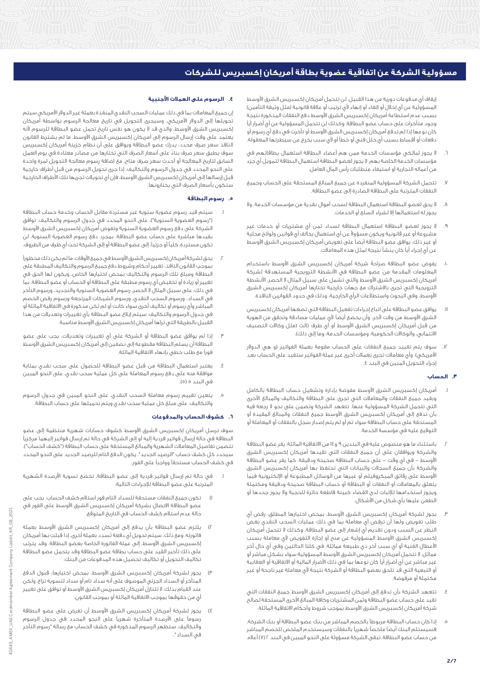إيقاف أي مدفوعات دورية من هذا القبيل. لن تتحمل أمريكان إكسبريس الشرق األوسط المسؤولية عن أي إخلال أو إلغاء أو إنهاء لأي ترتيب أو علاقة قانونية (مثل وثيقة التأمين) بسبب عدم استطاعة أمريكان إكسبريس الشرق األوسط دفع النفقات المذكورة نتيجة وجود متأخرات على حساب عضو البطاقة. وكذلك لن تتحمل المسؤولية عن أي أضرار أياً كان نوعها إذا لم تدفع أمريكان إكسبريس الشرق األوسط أو تأخرت في دفع أي رسوم أو دفعات أو أقساط بسبب أي خلل فني أو خطأ أو ألي سبب يخرج عن سيطرتها المعقولة.

- .6 ال يجوز لمالكي مؤسسات الخدمة ممن هم أعضاء البطاقة استعمال بطاقاتهم في مؤسسات الخدمة الخاصة بهم. ال يجوز لعضو البطاقة استعمال البطاقة لتمويل أي جزء من أعماله التجارية أو استيفاء متطلبات رأس المال العامل.
- .7 تتحمل الشركة المسؤولية المنفردة عن جميع المبالغ المستحقة على الحساب وجميع النفقات المترتبة على البطاقة الصادرة إلى عضو البطاقة.
- .8 ال يحق لعضو البطاقة استعمال البطاقة لسحب أموال نقدية من مؤسسات الخدمة، وال يجوز له استعمالها إال لشراء السلع أو الخدمات.
- .9 ال يجوز لعضو البطاقة استعمال البطاقة لسداد ثمن أي مشتريات أو خدمات غير مشروعة أو غير قانونية ويكون مسؤوالً عن أي استعمال يخالف أي قوانين ولوائح محلية أو غير ذلك. يوافق عضو البطاقة أيضاً على تعويض أمريكان إكسبريس الشرق األوسط عن أي إجراء أياً كان ينشأ نتيجة لمثل هذه المعامالت.
- .10 يفوض عضو البطاقة صراحةً شركة أمريكان إكسبريس الشرق األوسط باستخدام المعلومات المقدمة من عضو البطاقة في األنشطة الترويجية المستهدفة لشركة أمريكان إكسبريس الشرق الأوسط والتى تشمل على سبيل المثال لا الحصر، الأنشطة الترويجية التي تُجرى باالشتراك مع جهات خارجية تختارها أمريكان إكسبريس الشرق األوسط، وفي البحوث واستطالعات الرأي الخارجية، وذلك في حدود القوانين النافذة.
- .11 يوافق عضو البطاقة على اتباع إجراءات تفعيل البطاقة التي تضعها أمريكان إكسبريس الشرق األوسط من وقت آلخر، وأن يخضع أيضاً ألي عمليات مصادقة وتحقق من الهوية من قبل أمريكان إكسبريس الشرق الأوسط أو أي طرف ثالث (مثل وكالات التصنيف الائتماني، والوكالات الحكومية، ومؤسسات الخدمة، وما إلى ذلك).
- .12 سوف يتم تقييد جميع النفقات على الحساب مقومة بعملة الفواتير )و هي الدوالر الأمريكي). وأي معاملات تجرى بعملات أخرى غير عملة الفواتير ستقيد على الحساب بعد إجراء التحويل المبين في البند .4

#### **.3 الحساب**

- .1 أمريكان إكسبريس الشرق األوسط مفوضة بإدارة وتشغيل حساب البطاقة بالكامل وبقيد جميع النفقات والمعامالت التي تجرى على البطاقة والتكاليف والمبالغ األخرى التي تتحمل الشركة المسؤولية عنها. تتعهد الشركة وتضمن على نحو ال رجعة فيه بأن تدفع إلى أمريكان إكسبريس الشرق األوسط جميع النفقات والمبالغ المقيدة أو المستحقة على حساب البطاقة سواء تم أو لم يتم إصدار سجل بالنفقات أو المعاملة أو التوقيع عليه في مؤسسة الخدمة.
- .2 باستثناء ما هو منصوص عليه في البندين 9 و14 من االتفاقية الماثلة، يقر عضو البطاقة والشركة ويوافقان على أن جميع النفقات التي تقيدها أمريكان إكسبريس الشرق األوسط - في أي وقت - على حساب البطاقة صحيحة ودقيقة. كما يقر عضو البطاقة والشركة بأن جميع السجالت والبيانات التي تحتفظ بها أمريكان إكسبريس الشرق األوسط على رقائق الميكروفيلم أو غيرها من الوسائل المطبوعة أو اإللكترونية فيما يتعلق بالمعامالت أو النفقات أو البطاقة أو حساب البطاقة صحيحة ودقيقة ومكتملة ويجوز استخدامها لإلثبات لدى القضاء كبينة قاطعة حائزة للحجية وال يجوز جحدها أو الطعن عليها بأي شكل من األشكال.
- .3 يجوز لشركة أمريكان إكسبريس الشرق األوسط، بمحض اختيارها المطلق، رفض أي طلب تفويض ولها أن ترفض أي معاملة بما في ذلك عمليات السحب النقدي بغض النظر عن السبب ودون تقديم أي إشعار إلى عضو البطاقة. وكذلك ال تتحمل أمريكان إكسبريس الشرق الأوسط المسؤولية عن منح أو إجازة التفويض لأى معاملة بسبب األعطال الفنية أو أي سبب آخر ذي طبيعة مماثلة. في كلتا الحالتين وفي أي حال آخر مماثل، ال تتحمل أمريكان إكسبريس الشرق األوسط المسؤولية سواء بشكل مباشر أو غير مباشر عن أي أضرار أياً كان نوعها بما في ذلك األضرار المالية أو االتفاقية أو العقابية أو التبعية التي قد تلحق بعضو البطاقة أو الشركة نتيجة ألي معاملة غير ناجحة أو غير مكتملة أو مرفوضة.
- .4 تتعهد الشركة بأن تدفع إلى أمريكان إكسبريس الشرق األوسط جميع النفقات التي تقيد على حساب عضو البطاقة وثمن المشتريات وكافة المبالغ األخرى المستحقة لصالح شركة أمريكان إكسبريس الشرق األوسط بموجب شروط وأحكام االتفاقية الماثلة.
- .5 إذا كان حساب البطاقة مربوطاً بالخصم المباشر من بنك عضو البطاقة أو بنك الشركة، فسيستلم البنك أيضاً ملخصاً شهرياً بالنفقات وسيستخدم الملخص للخصم المباشر من حساب عضو البطاقة. تبقى الشركة مسؤولة على النحو المبين في البند 2 )7( أعاله.

## **.4 الرسوم على العمالت األجنبية**

إن جميع المعامالت بما في ذلك عمليات السحب النقدي المنفذة بعملة غير الدوالر األمريكي سيتم تحويلها إلى الدوالر األمريكي. وسيجرى التحويل في تاريخ معالجة الرسوم بواسطة أمريكان إكسبريس الشرق األوسط، والذي قد ال يكون هو نفس تاريخ تحمل عضو البطاقة للرسوم ألنه يعتمد على وقت إرسال الرسوم إلى أمريكان إكسبريس الشرق األوسط. ما لم يشترط القانون النافذ سعر صرف محدد، يدرك عضو البطاقة ويوافق على أن نظام خزينة أمريكان إكسبريس سوف يطبق سعر صرف بناءً على أسعار الصرف التي تختارها من مصادر معتادة في يوم العمل السابق لتاريخ المعالجة أو أحدث سعر صرف متاح، مع إضافة رسوم معالجة التحويل لمرة واحدة على النحو المحدد في جدول الرسوم والتكاليف. إذا جرى تحويل الرسوم من قبل أطراف خارجية قبل إرسالها إلى أمريكان إكسبريس الشرق الأوسط، فإن أي تحويلات تجريها تلك الأطراف الخارجية ستكون بأسعار الصرف التي يختارونها.

## **.5 رسوم البطاقة**

- .1 سيتم قيد رسوم عضوية سنوية غير مستردة مقابل الحساب وخدمة حساب البطاقة ("رسوم العضوية السنوية")، على النحو المحدد في جدول الرسوم والتكاليف. توافق الشركة على دفع رسوم العضوية السنوية وتفوض أمريكان إكسبريس الشرق األوسط بقيدها مباشرة على حساب عضو البطاقة. بمجرد دفع رسوم العضوية السنوية، لن تكون مستردة، كلياً أو جزئيا،ً إلى عضو البطاقة أو إلى الشركة تحت أي ظرف من الظروف.
- يحق لشركة أمريكان إكسبريس الشرق الأوسط فى جميع الأوقات، ما لم يكن ذلك محظوراً بموجب القانون النافذ، تغيير أحكام وشروط دفع جميع الرسوم والتكاليف المطبقة على البطاقة ومبلغ تلك الرسوم والتكاليف بمحض اختيارها الخاص، ويكون لها الحق في تغيير أو زيادة أو تخفيض أي رسوم مطبقة على البطاقة أو الحساب أو عضو البطاقة، بما في ذلك، على سبيل المثال ال الحصر، رسوم العضوية السنوية والتجديد، ورسوم التأخر في السداد، ورسوم السحب النقدي، ورسوم الشيكات المرتجعة ورسوم رفض الخصم المباشر وأي رسوم أو تكاليف أخرى سواء كانت أو لم تكن مذكورة في االتفاقية الماثلة أو في جدول الرسوم والتكاليف. سيتم إبالغ عضو البطاقة بأي تغييرات وتعديالت من هذا القبيل بالطريقة التى تراها أمريكان إكسبريس الشرق الأوسط مناسبة.
- .3 إذا لم يوافق عضو البطاقة أو الشركة على أي تغييرات وتعديالت، يجب على عضو البطاقة أن يسلم البطاقة مقطوعة إلى نصفين إلى أمريكان إكسبريس الشرق األوسط فوراً مع طلب خطي بإنهاء االتفاقية الماثلة.
- يعتبر استعمال البطاقة من قبل عضو البطاقة للحصول على سحب نقدي بمثابة موافقة منه على دفع رسوم المعاملة على كل عملية سحب نقدي، على النحو المبين في البند ٥ (٥).
- .5 يتعين تقييم رسوم معاملة السحب النقدي، على النحو المبين في جدول الرسوم والتكاليف، على مبلغ كل عملية سحب نقدي ويتم تحميلها على حساب البطاقة.

#### **.6 كشوف الحساب والمدفوعات**

سوف ترسل أمريكان إكسبريس الشرق األوسط كشوف حسابات شهرية منتظمة إلى عضو البطاقة في حالة إرسال فواتير فردية إليه أو إلى الشركة في حالة تم إرسال فواتير إليهما مركزياً تتضمن تفاصيل المعاملات الشهرية والمبالغ المستحقة على حساب البطاقة ("كشف الحساب"). سيحدد كل كشف حساب "الرصيد الجديد". يكون الدفع التام للرصيد الجديد على النحو المحدد في كشف الحساب مستحقاً وواجباً على الفور.

- .1 في حالة تم إرسال فواتير فردية إلى عضو البطاقة، تخضع تسوية األرصدة الشهرية المترتبة على عضو البطاقة لإلجراءات التالية:
- 1( تكون جميع النفقات مستحقة للسداد التام فور استالم كشف الحساب. يجب على عضو البطاقة االتصال بشركة أمريكان إكسبريس الشرق األوسط على الفور في حالة عدم استالم كشف الحساب في التاريخ المتوقع.
- 2( يلتزم عضو البطاقة بأن يدفع إلى أمريكان إكسبريس الشرق األوسط بعملة فاتورته. ومع ذلك، سيتم تحويل أي دفعة تُسدد بعملة أخرى، إذا قبلت بها أمريكان إكسبريس الشرق األوسط، إلى عملة الفاتورة الخاصة بعضو البطاقة. وقد يترتب على ذلك تأخير القيد على حساب بطاقة عضو البطاقة وقد يتحمل عضو البطاقة تكاليف التحويل أو تكاليف تحصيل هذه المدفوعات من البنك.
- 3( يجوز لشركة أمريكان إكسبريس الشرق األوسط، بمحض اختيارها، قبول الدفع المتأخر أو السداد الجزئي الموصوف على أنه سداد تام أو سداد لتسوية نزاع. ولكن عند القيام بذلك، ال تتنازل أمريكان إكسبريس الشرق األوسط أو توافق على تغيير أيٍ من حقوقها بموجب االتفاقية الماثلة أو بموجب القانون.
- 4( يجوز لشركة أمريكان إكسبريس الشرق األوسط أن تفرض على عضو البطاقة رسوماً على األرصدة المتأخرة شهرياً على النحو المحدد في جدول الرسوم والتكاليف. ستظهر الرسوم المذكورة في كشف الحساب مع رسالة "رسوم التأخر في السداد".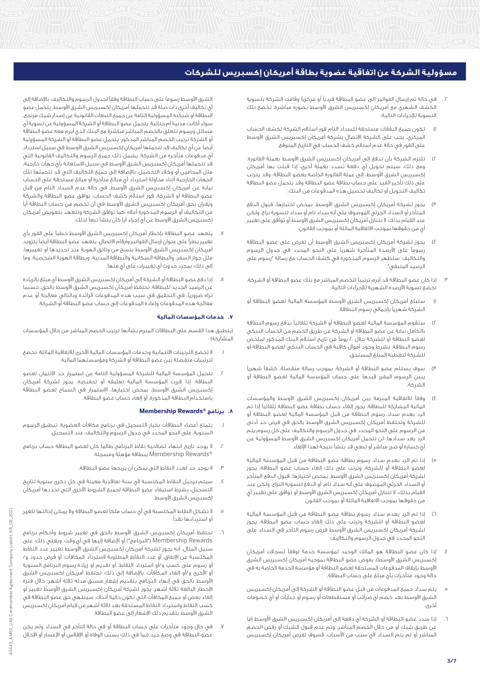- .2 في حالة تم إرسال الفواتير إلى عضو البطاقة فردياً أو مركزياً وقامت الشركة بتسوية الكشف الشهري مع أمريكان إكسبريس الشرق األوسط بصورة مباشرة، تخضع تلك التسوية لإلجراءات التالية:
- 1( تكون جميع النفقات مستحقة للسداد التام فور استالم الشركة لكشف الحساب المركزي. يجب على الشركة الاتصال بشركة أمريكان إكسبريس الشرق الأوسط على الفور في حالة عدم استالم كشف الحساب في التاريخ المتوقع.
- 2( تلتزم الشركة بأن تدفع إلى أمريكان إكسبريس الشرق األوسط بعملة الفاتورة. ومع ذلك، سيتم تحويل أي دفعة تُسدد بعملة أخرى، إذا قبلت بها أمريكان إكسبريس الشرق األوسط، إلى عملة الفاتورة الخاصة بعضو البطاقة. وقد يترتب على ذلك تأخير القيد على حساب بطاقة عضو البطاقة وقد يتحمل عضو البطاقة تكاليف التحويل أو تكاليف تحصيل هذه المدفوعات من البنك.
- 3( يجوز لشركة أمريكان إكسبريس الشرق األوسط، بمحض اختيارها، قبول الدفع المتأخر أو السداد الجزئي الموصوف على أنه سداد تام أو سداد لتسوية نزاع. ولكن عند القيام بذلك، ال تتنازل أمريكان إكسبريس الشرق األوسط أو توافق على تغيير أيٍ من حقوقها بموجب االتفاقية الماثلة أو بموجب القانون.
- يجوز لشركة أمريكان إكسبريس الشرق الأوسط أن تفرض على عضو البطاقة رسوماً على األرصدة المتأخرة شهرياً على النحو المحدد في جدول الرسوم والتكاليف. ستظهر الرسوم المذكورة في كشف الحساب مع رسالة "رسوم على الرصيد المتبقي".
- .3 إذا كان عضو البطاقة قد أبرم ترتيباً للخصم المباشر مع بنك عضو البطاقة أو الشركة، تخضع تسوية األرصدة الشهرية لإلجراءات التالية:
- 1( ستبلغ أمريكان إكسبريس الشرق األوسط المؤسسة المالية لعضو البطاقة أو الشركة شهرياً بإجمالي رسوم البطاقة.
- 2( ستقوم المؤسسة المالية لعضو البطاقة أو الشركة تلقائياً بدفع رسوم البطاقة بالكامل نيابة عن عضو البطاقة أو الشركة عن طريق الخصم من الحساب البنكي لعضو البطاقة أو للشركة خلال ٢٠ يوماً من تاريخ استلام البنك المذكور لملخص رسوم البطاقة، بشرط وجود أموال كافية في الحساب البنكي لعضو البطاقة أو للشركة لتغطية المبلغ المستحق.
- 3( سوف يستلم عضو البطاقة أو الشركة، بموجب رسالة منفصلة، كشفاً شهرياً يبين الرسوم المقرر قيدها على حساب المؤسسة المالية لعضو البطاقة أو الشركة.
- 4( وفقاً لالتفاقية المبرمة بين أمريكان إكسبريس الشرق األوسط والمؤسسات المالية المشاركة للبطاقة، يجوز إلغاء حساب بطاقة عضو البطاقة تلقائياً إذا تم الرد بعدم سداد رسوم البطاقة من قبل المؤسسة المالية لعضو البطاقة أو للشركة وتحتفظ أمريكان إكسبريس الشرق األوسط بالحق في فرض حد أدنى من الرسوم على النحو المحدد في جدول الرسوم والتكاليف على كل رسوم يتم الرد بعد سدادها. لن تتحمل أمريكان إكسبريس الشرق األوسط المسؤولية عن أي خسارة أو ضرر مباشر أو تبعي قد ينشأ نتيجة لهذا اإللغاء.
- 5( إذا تم الرد بعدم سداد رسوم بطاقة عضو البطاقة من قبل المؤسسة المالية لعضو البطاقة أو للشركة، وترتب على ذلك إلغاء حساب عضو البطاقة، يجوز لشركة أمريكان إكسبريس الشرق األوسط، بمحض اختيارها، قبول الدفع المتأخر أو السداد الجزئي الموصوف على أنه سداد تام، أو الدفع لتسوية النزاع. ولكن عند القيام بذلك، ال تتنازل أمريكان إكسبريس الشرق األوسط أو توافق على تغيير أيٍ من حقوقها بموجب االتفاقية الماثلة أو بموجب القانون.
- 6( إذا تم الرد بعدم سداد رسوم بطاقة عضو البطاقة من قبل المؤسسة المالية لعضو البطاقة أو للشركة وترتب على ذلك إلغاء حساب عضو البطاقة، يجوز لشركة أمريكان إكسبريس الشرق األوسط فرض رسوم التأخر في السداد على النحو المحدد في جدول الرسوم والتكاليف.
- .<br>٤. إذا كان عضو البطاقة هو المالك الوحيد لمؤسسة خدمة (وفقاً لسجلات أمريكان إكسبريس الشرق الأوسط)، يفوض عضو البطاقة بموجبه أمريكان إكسبريس الشرق األوسط بإيقاف المدفوعات المستحقة لعضو البطاقة أو مؤسسة الخدمة الخاصة به في حالة وجود متأخرات بأي مبلغ على حساب البطاقة.
- .5 يتم سداد جميع المدفوعات من قبل عضو البطاقة أو الشركة إلى أمريكان إكسبريس الشرق األوسط بعد خصم أي ضرائب أو مستقطعات أو رسوم أو جبايات أو أي خصومات أخرى.
- .6 إذا سدد عضو البطاقة أو الشركة أي دفعة إلى أمريكان إكسبريس الشرق األوسط إما عن طريق شيك أو من خالل الخصم المباشر، وتم عدم قبول الشيك أو رُفض الخصم المباشر أو لم يتم السداد ألي سبب من األسباب، فسوف تفرض أمريكان إكسبريس

الشرق األوسط رسوماً على حساب البطاقة وفقاً لجدول الرسوم والتكاليف، باإلضافة إلى أي تكاليف أخرى ذات صلة قد تتحملها أمريكان إكسبريس الشرق األوسط. يتحمل عضو البطاقة أو شركته المسؤولية التامة عن جميع التبعات القانونية عن إصدار شيك مرتجع، سواء أكانت مدنية أم جنائية. يتحمل عضو البطاقة أو الشركة المسؤولية عن تسوية أي مسائل ورسوم تتعلق بالخصم المباشر مباشرةً مع البنك الذي أبرم معه عضو البطاقة أو الشركة ترتيب الخصم المباشر المذكور. يتحمل عضو البطاقة أو الشركة المسؤولية أيضاً عن أي تكاليف قد تتحملها أمريكان إكسبريس الشرق األوسط في سبيل استرداد أي مدفوعات متأخرة من الشركة. يشمل ذلك جميع الرسوم والتكاليف القانونية التي قد تتحملها أمريكان إكسبريس الشرق األوسط في سبيل االستعانة بأي جهات خارجية، مثل المحامين أو وكالء التحصيل، باإلضافة إلى جميع التكاليف التي قد تتحملها تلك الجهات الخارجية أثناء محاولة استرداد أي مبالغ متأخرة أو مبالغ مستحقة على الحساب نيابة عن أمريكان إكسبريس الشرق األوسط. في حالة عدم السداد التام من قبل عضو البطاقة أو الشركة، فور استالم كشف الحساب، يوافق عضو البطاقة والشركة ويقران بحق أمريكان إكسبريس الشرق األوسط في أن تخصم من حساب البطاقة أياً من التكاليف أو الرسوم المذكورة أعاله. كما توافق الشركة وتتعهد بتعويض أمريكان إكسبريس الشرق الأوسط عن أي إجراء أياً كان ينشأ تبعاً لذلك.

- .7 يتعهد عضو البطاقة بإخطار أمريكان إكسبريس الشرق األوسط خطياً على الفور بأي تغيير يطرأ على عنوان إرسال الفواتير وأرقام االتصال. يتعهد عضو البطاقة أيضاً بتزويد أمريكان إكسبريس الشرق الأوسط بنسخ من وثائق الهوية عند تجديدها أو تغييرها، مثل جواز السفر، والبطاقة السكانية والبطاقة المدنية، وبطاقة الهوية الشخصية، وما إلى ذلك، بمجرد حدوث أي تغييرات على أيٍ منها.
- .8 إذا دفع عضو البطاقة أو الشركة إلى أمريكان إكسبريس الشرق األوسط أي مبلغ بالزيادة عن الرصيد الجديد للبطاقة، تحتفظ أمريكان إكسبريس الشرق األوسط بالحق، حسبما تراه ضروريا،ً في التحقيق في سبب هذه المدفوعات الزائدة وبالتالي معالجة أو عدم معالجة هذه المدفوعات وإعادة المدفوعات إلى حساب عضو البطاقة أو الشركة.

# **.7 خدمات المؤسسات المالية**

)ينطبق هذا القسم على البطاقات المبرم بشأنها ترتيب الخصم المباشر من خالل المؤسسات المشاركة(

- .1 ال تخضع الترتيبات االئتمانية وخدمات المؤسسات المالية األخرى لالتفاقية الماثلة. تخضع لترتيبات منفصلة بين عضو البطاقة أو الشركة ومؤسستهما المالية.
- .2 تتحمل المؤسسة المالية للشركة المسؤولية التامة عن استمرار حد االئتمان لعضو البطاقة. إذا قررت المؤسسة المالية تعليقه أو تخفيضه، يجوز لشركة أمريكان إكسبريس الشرق األوسط، بمحض اختيارها، االستمرار في السماح لعضو البطاقة باستخدام البطاقة المذكورة، أو إلغاء حساب عضو البطاقة.

## **Membership Rewards® برنامج .8**

- .1 يتمتع أعضاء البطاقات بخيار التسجيل في برنامج مكافآت العضوية. تنطبق الرسوم السنوية، على النحو المحدد في جدول الرسوم والتكاليف، عند التسجيل.
- .2 ال يوجد تاريخ انتهاء لصالحية نقاط البرنامج طالما كان لعضو البطاقة حساب برنامج RRewards Membership ببطاقة مؤهلة ومسجلة.
	- .3 ال يوجد حد لعدد النقاط التي يمكن أن يربحها عضو البطاقة.
- .<br>٤. سيتم ترحيل النقاط المكتسبة لأى سنة تعاقدية معينة في كل ذكرى سنوية لتاريخ التسجيل، بشرط استيفاء عضو البطاقة لجميع الشروط األخرى التي تحددها أمريكان إكسبريس الشرق األوسط.
- .5 ال تشكل النقاط المكتسبة في أي حساب ملكاً لعضو البطاقة وال يمكن إحالتها للغير أو استردادها نقدا.ً
- تحتفظ أمريكان إكسبريس الشرق الأوسط بالحق في تغيير شروط وأحكام برنامج Rewards Membership"( البرنامج"( أو اإلضافة إليها في أي وقت. ويعني ذلك، على سبيل المثال، أنه يجوز لشركة أمريكان إكسبريس الشرق األوسط تغيير عدد النقاط المكتسبة عن اإلنفاق، أو عدد النقاط المطلوبة السترداد المكافآت، أو فرض حدود و/ أو رسوم على كسب و/أو استرداد النقاط، أو تقديم أو زيادة رسوم البرنامج السنوية أو األخرى و/أو إلغاء المكافآت. باإلضافة إلى ذلك، تحتفظ أمريكان إكسبريس الشرق األوسط بالحق في إنهاء البرنامج بتقديم إشعار مسبق مدته ثالثة أشهر. خالل فترة اإلخطار البالغة ثالثة أشهر، يجوز لشركة أمريكان إكسبريس الشرق األوسط تغيير أو إلغاء بعض أو جميع المكافآت التي تكون حالية آنذاك. سينتهي حق عضو البطاقة في كسب النقاط واسترداد النقاط المستحقة بعد ثالثة أشهر من قيام أمريكان إكسبريس الشرق الأوسط بتقديم ذلك الإشعار إلى عضو البطاقة.
- .7 في حال وجود متأخرات على حساب البطاقة أو في حالة التأخر في السداد ولم يكن عضو البطاقة في وضع جيد (بما في ذلك بسبب الوفاة أو الإفلاس أو الإعسار أو الإخلال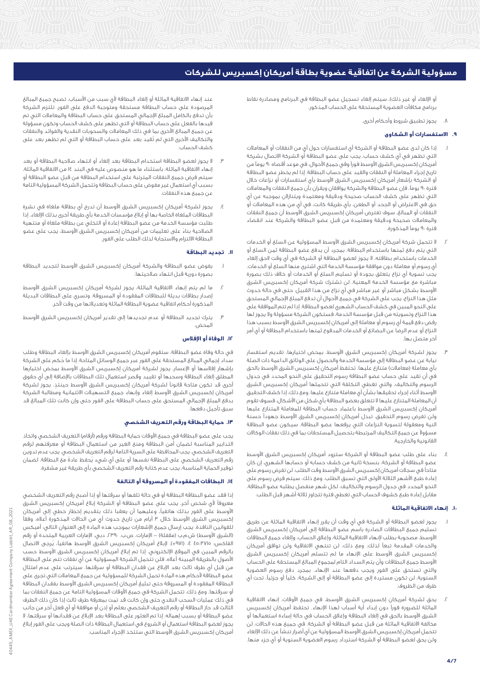أو الإلغاء أو غير ذلك)، سيتم إلغاء تسجيل عضو البطاقة في البرنامج ومصادرة نقاط برنامج مكافآت العضوية المستحقة على الحساب المذكور.

.8 يجوز تطبيق شروط وأحكام أخرى.

# **.9 االستفسارات أو الشكاوى**

- .1 إذا كان لدى عضو البطاقة أو الشركة أي استفسارات حول أيٍ من النفقات أو المعامالت التي تظهر في أي كشف حساب، يجب على عضو البطاقة أو الشركة االتصال بشركة أمريكان إكسبريس الشرق الأوسط فوراً وفي جميع الأحوال، في موعد أقصاه ٩٠ يوماً من تاريخ إجراء المعاملة أو النفقات والقيد على حساب البطاقة. إذا لم يخطر عضو البطاقة أو الشركة بإشعار أمريكان إكسبريس الشرق األوسط بأي استفسارات أو نزاعات خالل فترة 90 يوما،ً فإن عضو البطاقة والشركة يوافقان ويقران بأن جميع النفقات والمعامالت التي تظهر على كشف الحساب صحيحة ودقيقة ومعتمدة ويتنازالن بموجبه عن أي حق في االعتراض أو الجحد أو الطعن، بأي طريقة كانت، في أي من هذه المعامالت أو النفقات أو المبالغ. سوف تفترض أمريكان إكسبريس الشرق األوسط أن جميع النفقات والمعامالت صحيحة ودقيقة ومعتمدة من قبل عضو البطاقة والشركة عند انقضاء فترة 90 يوماً المذكورة.
- .2 ال تتحمل شركة أمريكان إكسبريس الشرق األوسط المسؤولية عن السلع أو الخدمات التي يتم دفع ثمنها باستخدام البطاقة. بمجرد أن يدفع عضو البطاقة ثمن السلع أو الخدمات باستخدام بطاقته، ال يجوز لعضو البطاقة أو الشركة في أي وقت الحق إلغاء أي رسوم أو معاملة دون موافقة مؤسسة الخدمة التي اشترى منها السلع أو الخدمات. يجب تسوية أي نزاع يتعلق بجودة أو تسليم السلع أو الخدمات أو خالف ذلك بصورة مباشرة مع مؤسسة الخدمة المعنية. لن تشترك شركة أمريكان إكسبريس الشرق األوسط بشكل مباشر أو غير مباشر في أي نزاع من هذا القبيل. حتى في حالة حدوث مثل هذا النزاع، يجب على الشركة في جميع األحوال أن تدفع المبلغ اإلجمالي المستحق على النحو المبين في كشف الحساب الشهري لعضو البطاقة. إذا لم تتم الموافقة على هذا النزاع وتسويته من قبل مؤسسة الخدمة، فستكون الشركة مسؤولة وال يجوز لها رفض دفع قيمة أي رسوم أو معاملة إلى أمريكان إكسبريس الشرق األوسط بسبب هذا النزاع أو عدم الرضا عن البضائع أو الخدمات المدفوع ثمنها باستخدام البطاقة أو أي أمر آخر متصل بها.
- .3 يجوز لشركة أمريكان إكسبريس الشرق األوسط، بمحض اختيارها، تقديم استفسار نيابة عن عضو البطاقة إلى مؤسسة الخدمة والحصول على الوثائق الداعمة ذات الصلة بأي معاملة (معاملات) متنازع عليها. تحتفظ أمريكان إكسبريس الشرق الأوسط بالحق .<br>في أن تقيد على حساب عضو البطاقة رسوم التحقيق على النحو المحدد في جدول الرسوم والتكاليف، والتي تغطي التكلفة التي تتحملها أمريكان إكسبريس الشرق األوسط أثناء إجراء تحقيقها بشأن أي معاملة متنازع عليها. ومع ذلك، إذا كشف التحقيق أن المعاملة المتنازع عليها ال تتعلق بعضو البطاقة بأي شكل من األشكال، فسوف تقوم أمريكان إكسبريس الشرق األوسط باعتماد حساب البطاقة للمعاملة المتنازع عليها ولن تفرض رسوم التحقيق. تبذل أمريكان إكسبريس الشرق األوسط جهوداً حسنة النية ومعقولة لتسوية النزاعات التي يرفعها عضو البطاقة. سيكون عضو البطاقة مسؤوالً عن جميع التكاليف المرتبطة بتحصيل المستحقات بما في ذلك نفقات الوكاالت القانونية والخارجية.
- .4 بناء على طلب عضو البطاقة أو الشركة ستزود أمريكان إكسبريس الشرق األوسط عضو البطاقة أو الشركة، بنسخة ثانية من كشف حسابه أو حسابها الشهري، إن كان متاحاً في سجالت أمريكان إكسبريس الشرق األوسط وقت الطلب. لن تفرض رسوم على إعادة طبع األشهر الثالثة األولى التي تسبق الطلب. ومع ذلك، سيتم فرض رسوم على النحو المحدد في جدول الرسوم والتكاليف، لكل شهر منفصل يطلبه عضو البطاقة، مقابل إعادة طبع كشوف الحساب التي تغطي فترة تتجاوز ثالثة أشهر قبل الطلب.

# **.10 إنهاء االتفاقية الماثلة**

- .1 يجوز لعضو البطاقة أو الشركة في أي وقت أن يقرر إنهاء االتفاقية الماثلة عن طريق تسليم جميع البطاقات الصادرة باسم عضو البطاقة إلى أمريكان إكسبريس الشرق األوسط، مصحوبة بطلب إلنهاء االتفاقية الماثلة، وإغالق الحساب، وإلغاء جميع البطاقات والخدمات المقدمة تبعاً لذلك. ومع ذلك، لن تنتهي االتفاقية ولن توافق أمريكان إكسبريس الشرق األوسط على اإلنهاء ما لم تتسلم أمريكان إكسبريس الشرق األوسط جميع البطاقات وأن يتم السداد التام لمجموع المبالغ المستحقة على الحساب والتي تستحق على الفور ويجب دفعها عند اإلنهاء. بمجرد دفع رسوم العضوية السنوية، لن تكون مستردة إلى عضو البطاقة أو إلى الشركة، كلياً أو جزئيا،ً تحت أي ظرف من الظروف.
- .2 يحق لشركة أمريكان إكسبريس الشرق األوسط، في جميع األوقات، إنهاء االتفاقية الماثلة للضرورة فوراً دون إبداء أية أسباب لهذا اإلنهاء. تحتفظ أمريكان إكسبريس الشرق األوسط بالحق في إلغاء البطاقة وإغالق الحساب في حالة إساءة استعمالها أو مخالفة االتفاقية الماثلة من قبل عضو البطاقة أو الشركة. في جميع هذه الحاالت، لن تتحمل أمريكان إكسبريس الشرق األوسط المسؤولية عن أي أضرار تنشأ عن ذلك اإللغاء ولن يحق لعضو البطاقة أو الشركة استرداد رسوم العضوية السنوية أو أي جزء منها.

عند إنهاء االتفاقية الماثلة أو إلغاء البطاقة ألي سبب من األسباب، تصبح جميع المبالغ المرصودة على حساب البطاقة مستحقة ومتوجبة الدفع على الفور. تلتزم الشركة بأن تدفع بالكامل المبلغ اإلجمالي المستحق على حساب البطاقة والمعامالت التي تم قيدها بالفعل على حساب البطاقة أو التي تظهر على كشف الحساب وتكون مسؤولة عن جميع المبالغ األخرى بما في ذلك المعامالت والسحوبات النقدية والفوائد والنفقات والتكاليف األخرى التي لم تُقيد بعد على حساب البطاقة أو التي لم تظهر بعد على كشف الحساب.

- .3 ال يجوز لعضو البطاقة استخدام البطاقة بعد إلغاء أو انتهاء صالحية البطاقة أو بعد إنهاء االتفاقية الماثلة. باستثناء ما هو منصوص عليه في البند 14 من االتفاقية الماثلة، سيتم فرض جميع النفقات المترتبة على استخدام البطاقة من قبل عضو البطاقة أو بسبب أي استعمال غير مفوض على حساب البطاقة وتتحمل الشركة المسؤولية التامة عن جميع هذه النفقات.
- يجوز لشركة أمريكان إكسبريس الشرق الأوسط أن تدرج أي بطاقة ملغاة في نشرة البطاقات الملغاة الخاصة بها أو إبالغ مؤسسات الخدمة بأي طريقة أخرى بذلك اإللغاء. إذا طلبت مؤسسة الخدمة من عضو البطاقة إعادة أو التخلي عن بطاقة ملغاة أو منتهية الصالحية بناءً على تعليمات من أمريكان إكسبريس الشرق األوسط، يجب على عضو البطاقة االلتزام واالستجابة لذلك الطلب على الفور.

## **.11 تجديد البطاقة**

- يفوض عضو البطاقة والشركة أمريكان إكسبريس الشرق الأوسط لتجديد البطاقة بصورة دورية قبل انتهاء صالحيتها.
- ما لم يتم إنهاء الاتفاقية الماثلة، يجوز لشركة أمريكان إكسبريس الشرق الأوسط إصدار بطاقات بديلة للبطاقات المفقودة أو المسروقة. وتسري على البطاقات البديلة .<br>المذكورة أحكام اتفاقية عضوية البطاقة الماثلة وتعديالتها من وقت لآخر.
- .3 يترك تجديد البطاقة أو عدم تجديدها إلى تقدير أمريكان إكسبريس الشرق األوسط المحض.

## **.12 الوفاة أو اإلفالس**

في حالة وفاة عضو البطاقة، ستقوم أمريكان إكسبريس الشرق األوسط بإلغاء البطاقة وطلب سداد إجمالي المبالغ المستحقة على الفور عبر جميع الوسائل المتاحة. إذا ما حُكم على الشركة بإشهار إفالسها أو اإلعسار، يجوز لشركة أمريكان إكسبريس الشرق األوسط بمحض اختيارها المطلق إلغاء البطاقة وسحبها أو تقييد وقصر استعمال تلك البطاقات باإلضافة إلى أي حقوق .<br>أخرى قد تكون متاحة قانوناً لشركة أمريكان إكسبريس الشرق الأوسط حينئذٍ. يجوز لشركة أمريكان إكسبريس الشرق األوسط إلغاء وإنهاء جميع التسهيالت االئتمانية ومطالبة الشركة بدفع المبلغ اإلجمالي المستحق على حساب البطاقة على الفور حتى وإن كانت تلك المبالغ قد سبق تأجيل دفعها.

# **.13 حماية البطاقة ورقم التعريف الشخصي**

يجب على عضو البطاقة في جميع الأوقات حماية البطاقة ورقم (أرقام) التعريف الشخصي واتخاذ التدابير المناسبة لضمان أمن البطاقة ومنع الغير من استعمال البطاقة أو معرفتهم لرقم التعريف الشخصي. يجب المحافظة على السرية التامة لرقم التعريف الشخصي. يجب عدم تدوين رقم التعريف الشخصي على البطاقة نفسها أو على أي شيء يُحفظ عادةً مع البطاقة. لضمان توفير الحماية المناسبة، يجب عدم كتابة رقم التعريف الشخصي بأي طريقة غير مشفرة.

# **.14 البطاقات المفقودة أو المسروقة أو التالفة**

إذا فقد عضو البطاقة البطاقة أو في حالة تلفها أو سرقتها أو إذا أصبح رقم التعريف الشخصي معروفاً ألي شخص آخر، يجب على عضو البطاقة أو الشركة إبالغ أمريكان إكسبريس الشرق األوسط على الفور بذلك هاتفيا،ً وعليهما أن يعقبا ذلك بتقديم إخطار خطي إلى أمريكان إكسبريس الشرق الأوسط خلال ٣ أيام من تاريخ حدوث أي من الحالات المذكورة أعلاه، وفقاً للقوانين النافذة. يجب إرسال جميع اإلشعارات بموجب هذه المادة إلى العنوان التالي: أميكس (الشرق الأوسط) ش.م.ب (مقفلة) – الإمارات، ص.ب. ،4٣٩، دبي، الإمارات العربية المتحدة أو رقم الفاكس: ٤٥،٣٧١٥ ٤. (٩٧١+). لإبلاغ أمريكان إكسبريس الشرق الأوسط هاتفياً، يُرجى الاتصال بالرقم المبين في الموقع اإللكتروني. إذا تم إبالغ أمريكان إكسبريس الشرق األوسط حسب األصول بالطريقة المبينة أعاله، فلن تتحمل الشركة المسؤولية عن أي نفقات تتم على البطاقة من قبل أي طرف ثالث بعد اإلبالغ عن فقدان البطاقة أو سرقتها. سيترتب على عدم امتثال عضو البطاقة ألحكام هذه المادة تحمل الشركة للمسؤولية عن جميع المعامالت التي تجرى على البطاقة المفقودة أو المسروقة حتى تبليغ أمريكان إكسبريس الشرق األوسط بفقدان البطاقة أو سرقتها. ومع ذلك، تتحمل الشركة في جميع األوقات المسؤولية التامة عن جميع النفقات بما في ذلك عمليات السحب النقدي حتى وإن كانت قد تمت بمعرفة طرف ثالث إذا كان ذلك الطرف الثالث قد حاز البطاقة أو رقم التعريف الشخصي بعلم أو إذن أو موافقة أو أي فعل آخر من جانب عضو البطاقة أو بسبب إهماله. إذا تم العثور على البطاقة بعد اإلبالغ عن فقدانها أو سرقتها، ال يجوز لعضو البطاقة استعمال أو الشروع في استعمال البطاقة ذات الصلة ويجب على الفور إبالغ أمريكان إكسبريس الشرق الأوسط التى ستتخذ الإجراء المناسب.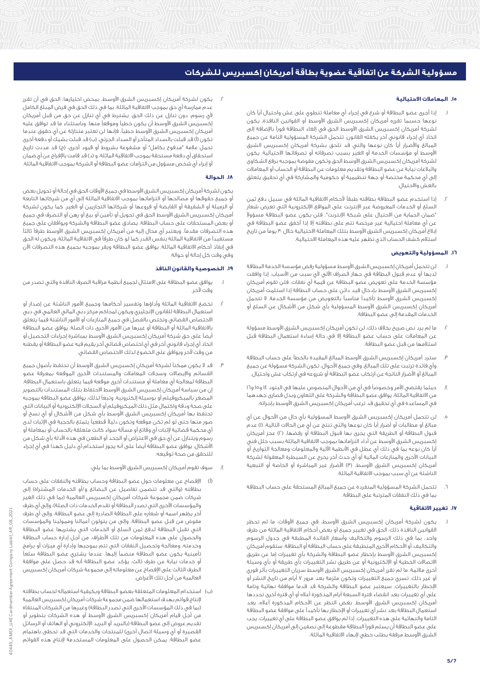## **.15 المعامالت االحتيالية**

- .1 إذا أجرى عضو البطاقة أو شرع في إجراء أي معاملة تنطوي على غش واحتيال أياً كان نوعها حسبما تقرره أمريكان إكسبريس الشرق األوسط أو القوانين النافذة، يكون لشركة أمريكان إكسبريس الشرق الأوسط الحق فى إلغاء البطاقة فوراً بالإضافة إلى اتخاذ أي إجراء قانوني آخر يكفله القانون. تتحمل الشركة المسؤولية التامة عن جميع المبالغ واألضرار أياً كان نوعها والتي قد تلحق بشركة أمريكان إكسبريس الشرق األوسط أو مؤسسات الخدمة أو الغير بسبب تصرفاته أو تصرفاتها االحتيالية. يكون لشركة أمريكان إكسبريس الشرق الأوسط الحق وتكون مفوضة بموجبه برفع الشكاوى والبالغات نيابة عن عضو البطاقة وتقديم معلومات عن البطاقة أو الحساب أو المعامالت إلى أي محكمة مختصة أو جهة تنظيمية أو حكومية والمشاركة في أي تحقيق يتعلق بالغش واالحتيال.
- .2 إذا استخدم عضو البطاقة بطاقته طبقاً ألحكام االتفاقية الماثلة في سبيل دفع ثمن السلع أو الخدمات المعروضة عبر اإلنترنت على المواقع اإللكترونية التي تعرض شعار "ضمان الحماية من االحتيال على شبكة اإلنترنت"، فلن يكون عضو البطاقة مسؤوالً عن أي معاملة احتيالية غير مرخصة تتم على بطاقته إال إذا أخفق عضو البطاقة في إبالغ أمريكان إكسبريس الشرق األوسط بتلك المعاملة االحتيالية خالل 30 يوماً من تاريخ استالم كشف الحساب الذي تظهر عليه هذه المعاملة االحتيالية.

# **.16 المسؤولية والتعويض**

- لن تتحمل أمريكان إكسبريس الشرق الأوسط مسؤولية رفض مؤسسة الخدمة البطاقة لديها أو عدم قبول البطاقة في جهاز الصراف اآللي ألي سبب من األسباب. إذا وافقت مؤسسة الخدمة على تعويض عضو البطاقة عن قيمة أي نفقات، فلن تقوم أمريكان إكسبريس الشرق األوسط بإدخال قيد دائن على حساب البطاقة إذا استلمت أمريكان إكسبريس الشرق األوسط تأكيداً مناسباً بالتعويض من مؤسسة الخدمة. ال تتحمل أمريكان إكسبريس الشرق األوسط المسؤولية بأي شكل من األشكال عن السلع أو الخدمات المقدمة إلى عضو البطاقة.
- .2 ما لم يرد نص صريح بخالف ذلك، لن تكون أمريكان إكسبريس الشرق األوسط مسؤولة عن المعامالت على حساب عضو البطاقة إال في حالة إساءة استعمال البطاقة قبل استالمها من قبل عضو البطاقة.
- .3 سترد أمريكان إكسبريس الشرق األوسط المبالغ المقيدة بالخطأ على حساب البطاقة وأي فائدة ترتبت على تلك المبالغ. وفي جميع األحوال، تكون الشركة مسؤولة عن جميع المبالغ أو األضرار الناتجة عن ارتكاب عضو البطاقة أو شروعه في ارتكاب غش واحتيال.
- .4 حيثما يقتضي األمر وخصوصاً في أيٍ من األحوال المنصوص عليها في البنود 14 و15 و16 من االتفاقية الماثلة، يوافق عضو البطاقة والشركة على التعاون وبذل قصارى جهدهما في المساعدة في أي تحقيق قد ترغب أمريكان إكسبريس الشرق األوسط بإجرائه.
- ه. لن تتحمل أمريكان إكسبريس الشرق الأوسط المسؤولية بأي حال من الأحوال عن أي مبالغ أو مطالبات أو أضرار أياً كان نوعها والتي تنتج عن أيٍ من الحاالت التالية: )1( عدم قبول البطاقة أو الطريقة التي يجرى بها قبول البطاقة أو رفضها، )2( عجز أمريكان إكسبريس الشرق الأوسط عن أداء التزاماتها بموجب الاتفاقية الماثلة بسبب خلل فني أياً كان نوعه بما في ذلك أي عطل في األنظمة اآللية والمعلومات ومعالجة التواريخ أو البيانات األخرى والمنازعات المالية أو أي حدث آخر يخرج عن السيطرة المعقولة لشركة أمريكان إكسبريس الشرق الأوسط، (٣) الأضرار غير المباشرة أو الخاصة أو التبعية الناشئة عن أي سبب بموجب االتفاقية الماثلة.
- .6 تتحمل الشركة المسؤولية المنفردة عن جميع المبالغ المستحقة على حساب البطاقة بما في ذلك النفقات المترتبة على البطاقة.

#### **.17 تغيير االتفاقية**

يكون لشركة أمريكان إكسبريس الشرق الأوسط، في جميع الأوقات، ما لم تحظر القوانين النافذة ذلك، الحق في تغيير جميع أو بعض أحكام االتفاقية الماثلة من طرف واحد، بما في ذلك الرسوم والتكاليف وأسعار الفائدة المطبقة في جدول الرسوم والتكاليف، أو األحكام األخرى المنطبقة على حساب البطاقة أو البطاقة. ستقوم أمريكان إكسبريس الشرق الأوسط بإخطار عضو البطاقة والشركة بأى تغييرات إما عن طريق االتصاالت الخطية أو اإللكترونية أو عن طريق نشر التغييرات بأي طريقة أو بأي وسيلة أخرى مالئمة. ما لم تقرر أمريكان إكسبريس الشرق األوسط سريان التغييرات بأثر فوري أو غير ذلك، تسري جميع التغييرات وتكون ملزمة بعد مرور 7 أيام من تاريخ النشر أو اإلخطار بالتغييرات. سيعتبر عضو البطاقة والشركة قد قدما موافقة نهائية وتامة على أي تغييرات بعد انقضاء فترة السبعة أيام المذكورة أعاله أو أي فترة أخرى تحددها أمريكان إكسبريس الشرق األوسط. بغض النظر عن األحكام المذكورة أعاله، يعد استعمال البطاقة بعد نشر أي تغييرات أو اإلخطار بها تأكيداً على موافقة عضو البطاقة التامة والنهائية على هذه التغييرات. إذا لم يوافق عضو البطاقة على أي تغييرات، يجب على عضو البطاقة أن يسلم فوراً البطاقة مقطوعة إلى نصفين إلى أمريكان إكسبريس الشرق األوسط مرفقة بطلب خطي إلنهاء االتفاقية الماثلة.

.2 يكون لشركة أمريكان إكسبريس الشرق األوسط، بمحض اختيارها، الحق في أن تقرر عدم ممارسة أي حق بموجب االتفاقية الماثلة، بما في ذلك الحق في فرض المبلغ الكامل ألي رسوم، دون تنازل عن ذلك الحق. يشترط في أي تنازل عن حق من قبل أمريكان إكسبريس الشرق األوسط أن يكون خطياً وموقعاً منها. وباستثناء ما قد توافق عليه أمريكان إكسبريس الشرق الأوسط خطياً، فإنها لن تعتبر متنازلة عن أي حقوق عندما تكون (أ) قد قبلت بالسداد المتأخر أو السداد الجزئي، (ب) قد قبلت بشيكَ أو دفعة أخرى تحمل علامة "مدفوع بكامل" أو مشفوعة بشروط ًأو قيود أخرى، (ج) قد مددت تاريخ استحقاق أي دفعة مستحقة بموجب الاتفاقية الماثلة، و (د) قد قامت بالإفراج عن أي ضمان أو إبراء أي شخص مسؤول من التزامات عضو البطاقة أو الشركة بموجب االتفاقية الماثلة.

#### **.18 الحوالة**

يكون لشركة أمريكان إكسبريس الشرق األوسط في جميع األوقات الحق في إحالة أو تحويل بعض .<br>أو جميع حقوقها أو مصالحها أو التزاماتها بموجب الاتفاقية الماثلة إلى أيٍّ من شركاتها التابعة أو الزميلة أو الشقيقة أو القابضة أو فروعها أو شركائها التجاريين أو الغير. كما يكون لشركة أمريكان إكسبريس الشرق األوسط الحق في تحويل أو تأمين أو بيع أو رهن أو التصرف في جميع أو بعض المستحقات على حساب البطاقة. يصادق عضو البطاقة والشركة ويوافقان على جميع هذه التصرفات مقدما.ً ويعتبر أي محال إليه من أمريكان إكسبريس الشرق األوسط طرفاً ثالثاً مستفيداً من االتفاقية الماثلة بنفس القدر كما لو كان طرفاً في االتفاقية الماثلة، ويكون له الحق في إنفاذ أحكام االتفاقية الماثلة. يوافق عضو البطاقة ويقر بموجبه بجميع هذه التصرفات اآلن وفي وقت كل إحالة أو حوالة.

# **.19 الخصوصية والقانون النافذ**

- .1 يوافق عضو البطاقة على االمتثال لجميع أنظمة مراقبة الصرف النافذة والتي تصدر من وقت آلخر.
- .2 تخضع االتفاقية الماثلة وأداؤها وتفسير أحكامها وجميع األمور الناشئة عن إصدار أو استعمال البطاقة للقانون اإلنجليزي ويكون لمحاكم مركز دبي المالي العالمي في دبي االختصاص القضائي وتختص بالفصل في جميع المنازعات أو األمور الناشئة فيما يتعلق باالتفاقية الماثلة أو البطاقة أو غيرها من األمور األخرى ذات الصلة. يوافق عضو البطاقة أيضاً على حق شركة أمريكان إكسبريس الشرق األوسط بمباشرة إجراءات التحصيل أو اتخاذ أي إجراء قانوني آخر في أي اختصاص قضائي آخر يقيم فيه عضو البطاقة أو يقطنه من وقت آلخر ويوافق على الخضوع لذلك االختصاص القضائي.
- قد لا يكون ممكناً لشركة أمريكان إكسبريس الشرق الأوسط أن تحتفظ بأصول جميع القسائم واإليصاالت وسجالت المعامالت والمستندات األخرى الموقعة بمعرفة عضو البطاقة لمعالجة أي معاملة أو مستندات أخرى موقعة فيما يتعلق باستعمال البطاقة. إن من سياسة أمريكان إكسبريس الشرق األوسط االحتفاظ بتلك المستندات بالتصوير المصغر بالميكروفيلم أو بوسيلة إلكترونية. وتبعاً لذلك، يوافق عضو البطاقة بموجبه على صحة ودقة واكتمال مثل ذلك الميكروفيلم أو السجالت اإللكترونية أو البيانات التي تحتفظ بها أمريكان إكسبريس الشرق الأوسط بأي شكل من الأشكال أو أي نسخ أو صور منها حتى لو لم تكن موقعة وتكون دليالً قطعياً يتمتع بالحجية في اإلثبات لدى أي محكمة قضائية إلثبات أي وقائع أو مسألة سواء كانت متعلقة بالحساب أو بمعاملة أو رسوم ويتنازل عن أي حق في االعتراض أو الجحد أو الطعن في هذه األدلة بأي شكل من األشكال. يوافق عضو البطاقة أيضاً على أنه يجوز استخدام أي دليل كهذا في أي إجراء للتحقق من صحة توقيعه.
	- .4 سوف تقوم أمريكان إكسبريس الشرق األوسط بما يلي:
- )أ( اإلفصاح عن معلومات حول عضو البطاقة وحساب بطاقته والنفقات على حساب بطاقته (والتي قد تتضمن تفاصيل عن البضائع و/أو الخدمات المشتراة) إلى شركات ضمن مجموعة شركات أمريكان إكسبريس العالمية )بما في ذلك الغير والمؤسسات الأخرى التي تصدر البطاقة أو تقدم الخدمات ذات الصلة)، وإلى أي طرف آخر يظهر اسمه أو شعاره على البطاقة الصادرة إلى عضو البطاقة، وإلى أي طرف مفوض من قبل عضو البطاقة، وإلى من يتولون أعمالنا وممولينا والمؤسسات التي تقبل البطاقة لدفع ثمن السلع أو الخدمات التي يشتريها عضو البطاقة والحصول على هذه المعلومات من تلك األطراف، من أجل إدارة حساب البطاقة وخدمته، ومعالجة وتحصيل النفقات التي تتم بموجبها وإدارة أي ميزات أو برامج تأمينية يكون عضو البطاقة منضماً إليها. عندما يشتري عضو البطاقة سلعاً أو خدمات نيابة عن طرف ثالث، يؤكد عضو البطاقة أنه قد حصل على موافقة الطرف الثالث على اإلفصاح عن معلوماته إلى مجموعة شركات أمريكان إكسبريس العالمية من أجل تلك األغراض.
- )ب( استخدام المعلومات المتعلقة بعضو البطاقة وبكيفية استعماله لحساب بطاقته إلنتاج قوائم بهدف استعمالها ضمن مجموعة شركات أمريكان إكسبريس العالمية (بما في ذلك المؤسسات الأخرى التي تصدر البطاقة) وغيرها من الشركات المنتقاة من أجل قيام أمريكان إكسبريس الشرق األوسط أو هذه الشركات بتطوير أو تقديم عروض إلى عضو البطاقة )بالبريد أو البريد اإللكتروني أو الهاتف أو الرسائل .<br>القصيرة أو أي وسيلة اتصال أخرى) للمنتجات والخدمات التي قد تحظى باهتمام عضو البطاقة. يمكن الحصول على المعلومات المستخدمة إلنتاج هذه القوائم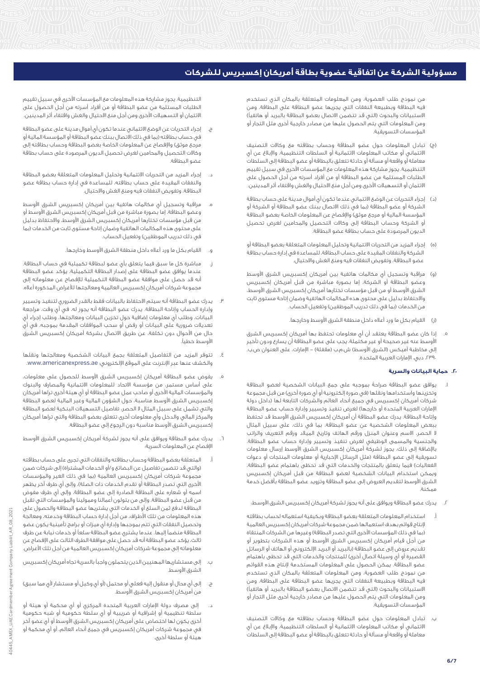من نموذج طلب العضوية، ومن المعلومات المتعلقة بالمكان الذي تستخدم فيه البطاقة وبطبيعة النفقات التي يجريها عضو البطاقة على البطاقة، ومن الاستبيانات والبحوث (التي قد تتضمن الاتصال بعضو البطاقة بالبريد أو هاتفياً) ومن المعلومات التي يتم الحصول عليها من مصادر خارجية أخرى مثل التجار أو المؤسسات التسويقية.

- )ج( تبادل المعلومات حول عضو البطاقة وحساب بطاقته مع وكاالت التصنيف االئتماني أو مكاتب المعلومات االئتمانية أو السلطات التنظيمية، واإلبالغ عن أي معاملة أو واقعة أو مسألة أو حادثة تتعلق بالبطاقة أو عضو البطاقة إلى السلطات التنظيمية. يجوز مشاركة هذه المعلومات مع المؤسسات األخرى في سبيل تقييم الطلبات المستلمة من عضو البطاقة أو من أفراد أسرته من أجل الحصول على االئتمان أو التسهيالت األخرى ومن أجل منع االحتيال والغش واقتفاء أثر المدينين.
- )د( إجراء التحريات عن الوضع االئتماني عندما تكون أي أموال مدينة على حساب بطاقة الشركة أو عضو البطاقة (بما في ذلك الاتصال ببنك عضو البطاقة أو الشركة أو المؤسسة المالية أو مرجع موثق) والإفصاح عن المعلومات الخاصة بعضو البطاقة أو الشركة وحساب البطاقة إلى وكاالت التحصيل والمحامين لغرض تحصيل الديون المرصودة على حساب بطاقة عضو البطاقة.
- )ه( إجراء المزيد من التحريات االئتمانية وتحليل المعلومات المتعلقة بعضو البطاقة أو الشركة والنفقات المقيدة على حساب البطاقة، للمساعدة في إدارة حساب بطاقة عضو البطاقة، وتفويض النفقات فيه ومنع الغش واالحتيال.
- )و( مراقبة وتسجيل أي مكالمات هاتفية بين أمريكان إكسبريس الشرق األوسط وعضو البطاقة أو الشركة، إما بصورة مباشرة من قبل أمريكان إكسبريس الشرق الأوسط أو من قبل مؤسسات تختارها أمريكان إكسبريس الشرق الأوسط، واالحتفاظ بدليل على محتوى هذه المكالمات الهاتفية وضمان إتاحة مستوى ثابت من الخدمات (بما في ذلك تدريب الموظفين) وتفعيل الحساب.
	- )ز( القيام بكل ما ورد أعاله داخل منطقة الشرق األوسط وخارجها.
- إذا كان عضو البطاقة يعتقد أن أي معلومات تحتفظ بها أمريكان إكسبريس الشرق األوسط عنه غير صحيحة أو غير مكتملة، يجب على عضو البطاقة أن يسارع ودون تأخير إلى مخاطبة أميكس (الشرق الأوسط) ش.م.ب (مقفلة) – الإمارات، على العنوان ص.ب. ،2390 دبي، اإلمارات العربية المتحدة.

# **.20 حماية البيانات والسرية**

- .1 يوافق عضو البطاقة صراحةً بموجبه على جمع البيانات الشخصية لعضو البطاقة وتخزينها واستخدامها ونقلها (في صورة إلكترونية أو أي صورة أخرى) من قبل مجموعة شركات أمريكان إكسبريس في جميع أنحاء العالم والشركات التابعة لها )داخل دولة الإمارات العربية المتحدة أو خارجها) لغرض تنفيذ وتسيير وإدارة حساب عضو البطاقة وإتاحة البطاقة. يدرك عضو البطاقة أن أمريكان إكسبريس الشرق األوسط قد تحتفظ ببعض المعلومات الشخصية عن عضو البطاقة، بما في ذلك، على سبيل المثال ال الحصر، االسم وعنوان المنزل ورقم الهاتف وتاريخ الميالد ورقم التعريف والراتب والجنسية والمسمى الوظيفي لغرض تنفيذ وتسيير وإدارة حساب عضو البطاقة. باإلضافة إلى ذلك، يجوز لشركة أمريكان إكسبريس الشرق األوسط إرسال معلومات تسويقية إلى عضو البطاقة (مثل الرسائل الإخبارية أو معلومات المنتجات أو دعوات الفعاليات) فيما يتعلق بالمنتجات والخدمات التي قد تحظى باهتمام عضو البطاقة، ويمكن استخدام البيانات الشخصية لعضو البطاقة من قبل أمريكان إكسبريس الشرق األوسط لتقديم العروض إلى عضو البطاقة وتزويد عضو البطاقة بأفضل خدمة ممكنة.
	- .2 يدرك عضو البطاقة ويوافق على أنه يجوز لشركة أمريكان إكسبريس الشرق األوسط:
- أ. استخدام المعلومات المتعلقة بعضو البطاقة وبكيفية استعماله لحساب بطاقته إلنتاج قوائم بهدف استعمالها ضمن مجموعة شركات أمريكان إكسبريس العالمية (بما في ذلك المؤسسات الأخرى التي تصدر البطاقة) وغيرها من الشركات المنتقاة من أجل قيام أمريكان إكسبريس الشرق األوسط أو هذه الشركات بتطوير أو تقديم عروض إلى عضو البطاقة (بالبريد أو البريد الإلكتروني أو الهاتف أو الرسائل القصيرة أو أي وسيلة اتصال أخرى) للمنتجات والخدمات التي قد تحظى باهتمام عضو البطاقة. يمكن الحصول على المعلومات المستخدمة إلنتاج هذه القوائم من نموذج طلب العضوية، ومن المعلومات المتعلقة بالمكان الذي تستخدم فيه البطاقة وبطبيعة النفقات التي يجريها عضو البطاقة على البطاقة، ومن الاستبيانات والبحوث (التي قد تتضمن الاتصال بعضو البطاقة بالبريد أو هاتفياً) ومن المعلومات التي يتم الحصول عليها من مصادر خارجية أخرى مثل التجار أو المؤسسات التسويقية.
- ب. تبادل المعلومات حول عضو البطاقة وحساب بطاقته مع وكاالت التصنيف االئتماني أو مكاتب المعلومات االئتمانية أو السلطات التنظيمية، واإلبالغ عن أي معاملة أو واقعة أو مسألة أو حادثة تتعلق بالبطاقة أو عضو البطاقة إلى السلطات

التنظيمية. يجوز مشاركة هذه المعلومات مع المؤسسات األخرى في سبيل تقييم الطلبات المستلمة من عضو البطاقة أو من أفراد أسرته من أجل الحصول على االئتمان أو التسهيالت األخرى ومن أجل منع االحتيال والغش واقتفاء أثر المدينين.

- ج. إجراء التحريات عن الوضع االئتماني عندما تكون أي أموال مدينة على عضو البطاقة في حساب بطاقته (بما في ذلك الاتصال ببنك عضو البطاقة أو المؤسسة المالية أو .<br>مرجع موثق) والإفصاح عن المعلومات الخاصة بعضو البطاقة وحساب بطاقته إلى وكاالت التحصيل والمحامين لغرض تحصيل الديون المرصودة على حساب بطاقة عضو البطاقة.
- د. إجراء المزيد من التحريات االئتمانية وتحليل المعلومات المتعلقة بعضو البطاقة والنفقات المقيدة على حساب بطاقته، للمساعدة في إدارة حساب بطاقة عضو البطاقة، وتفويض النفقات فيه ومنع الغش واالحتيال.
- ه. مراقبة وتسجيل أي مكالمات هاتفية بين أمريكان إكسبريس الشرق األوسط وعضو البطاقة، إما بصورة مباشرة من قبل أمريكان إكسبريس الشرق الأوسط أو من قبل مؤسسات تختارها أمريكان إكسبريس الشرق األوسط، واالحتفاظ بدليل على محتوى هذه المكالمات الهاتفية وضمان إتاحة مستوى ثابت من الخدمات )بما في ذلك تدريب الموظفين) وتفعيل الحساب.
	- و. القيام بكل ما ورد أعاله داخل منطقة الشرق األوسط وخارجها.
- ز. مباشرة كل ما سبق فيما يتعلق بأي عضو لبطاقة تكميلية في حساب البطاقة. عندما يوافق عضو البطاقة على إصدار البطاقة التكميلية، يؤكد عضو البطاقة أنه قد حصل على موافقة عضو البطاقة التكميلية لإلفصاح عن معلوماته إلى مجموعة شركات أمريكان إكسبريس العالمية ومعالجتها لألغراض المذكورة أعاله.
- .3 يدرك عضو البطاقة أنه سيتم االحتفاظ بالبيانات فقط بالقدر الضروري لتنفيذ وتسيير وإدارة الحساب وإتاحة البطاقة. يدرك عضو البطاقة أنه يجوز له، في أي وقت، مراجعة البيانات، وطلب أي معلومات إضافية حول تخزين البيانات ومعالجتها، وطلب إجراء أي تعديالت ضرورية على البيانات أو رفض أو سحب الموافقات المقدمة بموجبه، في أي حال من األحوال دون تكلفة، عن طريق االتصال بشركة أمريكان إكسبريس الشرق األوسط خطيا.ً
- .4 تتوفر المزيد من التفاصيل المتعلقة بجمع البيانات الشخصية ومعالجتها ونقلها والكشف عنها عبر اإلنترنت على الموقع اإللكتروني: ae.americanexpress.www.
- .5 يفوض عضو البطاقة أمريكان إكسبريس الشرق األوسط للحصول على معلومات، على أساس مستمر، من مؤسسة االتحاد للمعلومات االئتمانية والمصارف والبنوك والمؤسسات المالية األخرى أو صاحب عمل عضو البطاقة أو أي هيئة أخرى تراها أمريكان إكسبريس الشرق األوسط مناسبة، حول الشؤون المالية وغير المالية لعضو البطاقة والتي تشمل على سبيل المثال ال الحصر، تفاصيل التسهيالت البنكية لعضو البطاقة والمركز المالي والدخل وأي معلومات أخرى تتعلق بعضو البطاقة والتي تراها أمريكان إكسبريس الشرق األوسط مناسبة دون الرجوع إلى عضو البطاقة.
- .6 يدرك عضو البطاقة ويوافق على أنه يجوز لشركة أمريكان إكسبريس الشرق األوسط اإلفصاح عن المعلومات السرية:
- أ. المتعلقة بعضو البطاقة وحساب بطاقته والنفقات التي تجرى على حساب بطاقته (والتي قد تتضمن تفاصيل عن البضائع و/أو الخدمات المشتراة) إلى شركات ضمن مجموعة شركات أمريكان إكسبريس العالمية (بما في ذلك الغير والمؤسسات الأخرى التي تصدر البطاقة أو تقدم الخدمات ذات الصلة)، وإلى أي طرف آخر يظهر اسمه أو شعاره على البطاقة الصادرة إلى عضو البطاقة، وإلى أي طرف مفوض من قبل عضو البطاقة، وإلى من يتولون أعمالنا وممولينا والمؤسسات التي تقبل البطاقة لدفع ثمن السلع أو الخدمات التي يشتريها عضو البطاقة والحصول على هذه المعلومات من تلك األطراف، من أجل إدارة حساب البطاقة وخدمته، ومعالجة وتحصيل النفقات التي تتم بموجبها وإدارة أي ميزات أو برامج تأمينية يكون عضو البطاقة منضماً إليها. عندما يشتري عضو البطاقة سلعاً أو خدمات نيابة عن طرف ثالث، يؤكد عضو البطاقة أنه قد حصل على موافقة الطرف الثالث على اإلفصاح عن معلوماته إلى مجموعة شركات أمريكان إكسبريس العالمية من أجل تلك األغراض.
- ب. إلى مستشاريها المهنيين الذين يتحملون واجباً بالسرية تجاه أمريكان إكسبريس الشرق األوسط.
- ج. إلى أي محال أو منقول إليه فعلي أو محتمل (أو أي وكيل أو مستشار لأي مما سبق) من أمريكان إكسبريس الشرق األوسط.
- د. إلى مصرف دولة اإلمارات العربية المتحدة المركزي أو أي محكمة أو هيئة أو سلطة تنظيمية أو إشرافية أو ضريبية أو أي سلطة حكومية أو شبه حكومية أخرى يكون لها اختصاص على أمريكان إكسبريس الشرق الأوسط أو أي عضو آخر في مجموعة شركات أمريكان إكسبريس في جميع أنحاء العالم، أو أي محكمة أو هيئة أو سلطة أخرى.